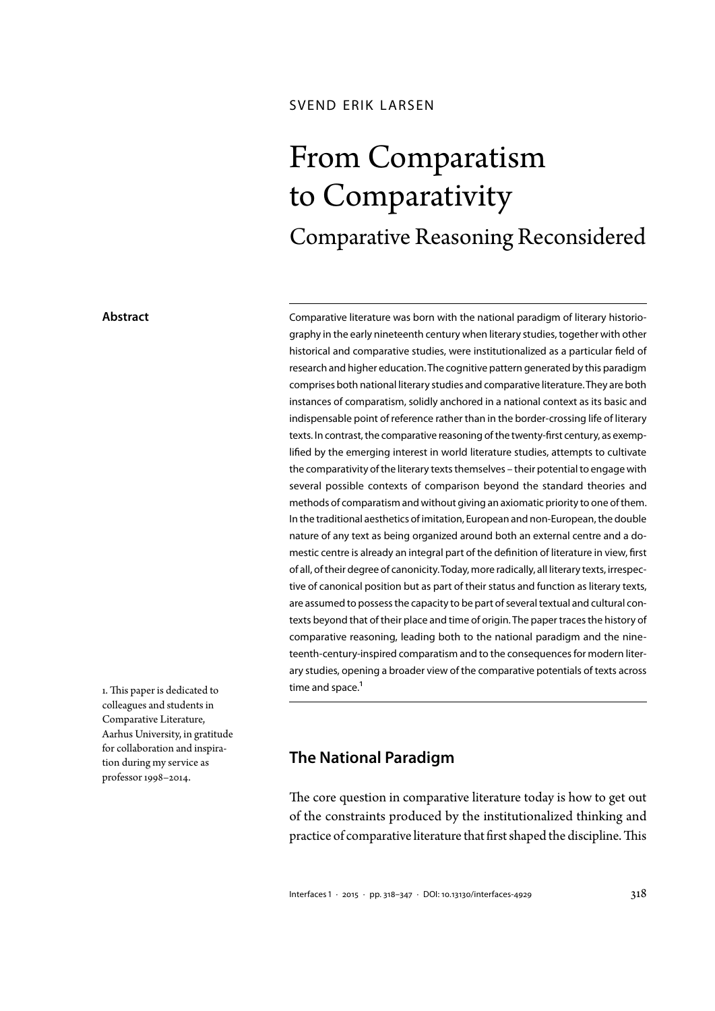### svend erik larsen

# From Comparatism to Comparativity Comparative Reasoning Reconsidered

#### **Abstract**

Comparative literature was born with the national paradigm of literary historiography in the early nineteenth century when literary studies, together with other historical and comparative studies, were institutionalized as a particular field of research and higher education. The cognitive pattern generated by this paradigm comprises both national literary studies and comparative literature. They are both instances of comparatism, solidly anchored in a national context as its basic and indispensable point of reference rather than in the border-crossing life of literary texts. In contrast, the comparative reasoning of the twenty-first century, as exemplified by the emerging interest in world literature studies, attempts to cultivate the comparativity of the literary texts themselves – their potential to engage with several possible contexts of comparison beyond the standard theories and methods of comparatism and without giving an axiomatic priority to one of them. In the traditional aesthetics of imitation, European and non-European, the double nature of any text as being organized around both an external centre and a domestic centre is already an integral part of the definition of literature in view, first of all, of their degree of canonicity. Today, more radically, all literary texts, irrespective of canonical position but as part of their status and function as literary texts, are assumed to possess the capacity to be part of several textual and cultural contexts beyond that of their place and time of origin. The paper traces the history of comparative reasoning, leading both to the national paradigm and the nineteenth-century-inspired comparatism and to the consequences for modern literary studies, opening a broader view of the comparative potentials of texts across time and space.<sup>1</sup>

1. This paper is dedicated to colleagues and students in Comparative Literature, Aarhus University, in gratitude for collaboration and inspiration during my service as professor 1998–2014.

# **The National Paradigm**

The core question in comparative literature today is how to get out of the constraints produced by the institutionalized thinking and practice of comparative literature that first shaped the discipline. This

Interfaces 1 · 2015 · pp. 318-347 · DOI: 10.13130/interfaces-4929 318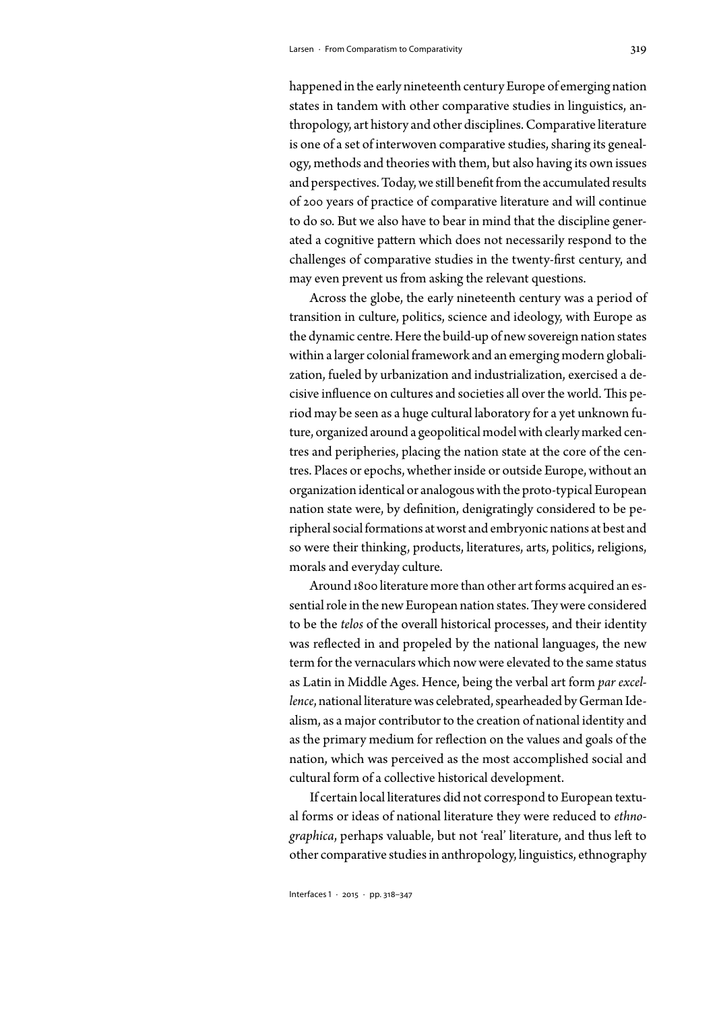happened in the early nineteenth century Europe of emerging nation states in tandem with other comparative studies in linguistics, anthropology, art history and other disciplines. Comparative literature is one of a set of interwoven comparative studies, sharing its genealogy, methods and theories with them, but also having its own issues and perspectives. Today, we still benefit from the accumulated results of 200 years of practice of comparative literature and will continue to do so. But we also have to bear in mind that the discipline generated a cognitive pattern which does not necessarily respond to the challenges of comparative studies in the twenty-first century, and may even prevent us from asking the relevant questions.

Across the globe, the early nineteenth century was a period of transition in culture, politics, science and ideology, with Europe as the dynamic centre. Here the build-up of new sovereign nation states within a larger colonial framework and an emerging modern globalization, fueled by urbanization and industrialization, exercised a decisive influence on cultures and societies all over the world. This period may be seen as a huge cultural laboratory for a yet unknown future, organized around a geopolitical model with clearly marked centres and peripheries, placing the nation state at the core of the centres. Places or epochs, whether inside or outside Europe, without an organization identical or analogous with the proto-typical European nation state were, by definition, denigratingly considered to be peripheral social formations at worst and embryonic nations at best and so were their thinking, products, literatures, arts, politics, religions, morals and everyday culture.

Around 1800 literature more than other art forms acquired an essential role in the new European nation states. They were considered to be the *telos* of the overall historical processes, and their identity was reflected in and propeled by the national languages, the new term for the vernaculars which now were elevated to the same status as Latin in Middle Ages. Hence, being the verbal art form *par excellence*, national literature was celebrated, spearheaded by German Idealism, as a major contributor to the creation of national identity and as the primary medium for reflection on the values and goals of the nation, which was perceived as the most accomplished social and cultural form of a collective historical development.

If certain local literatures did not correspond to European textual forms or ideas of national literature they were reduced to *ethnographica*, perhaps valuable, but not 'real' literature, and thus left to other comparative studies in anthropology, linguistics, ethnography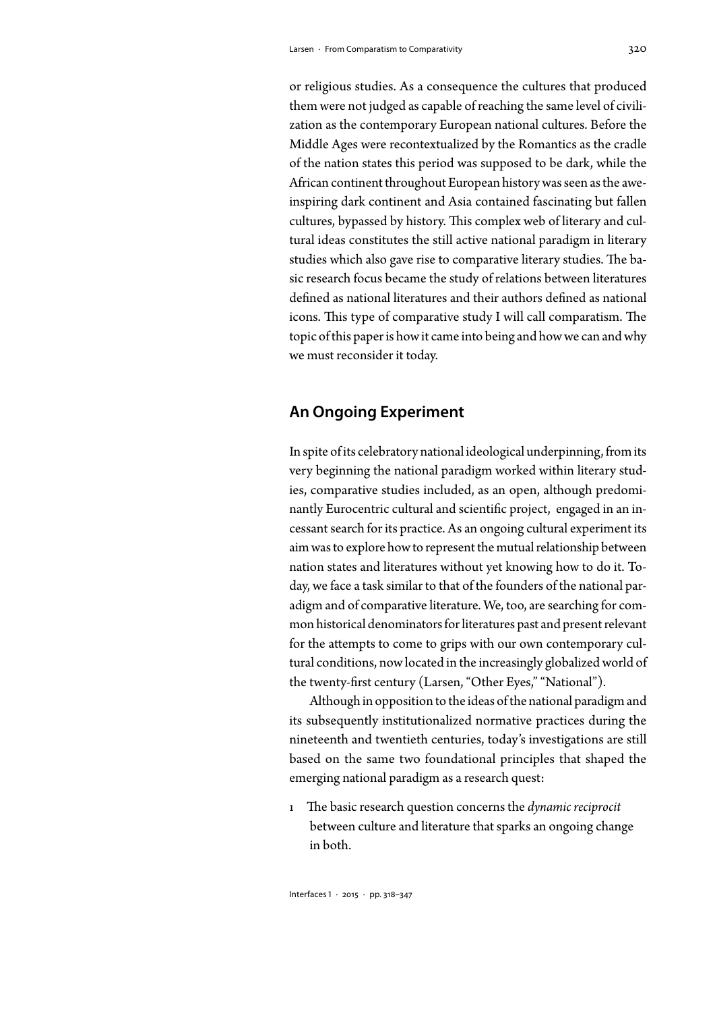or religious studies. As a consequence the cultures that produced them were not judged as capable of reaching the same level of civilization as the contemporary European national cultures. Before the Middle Ages were recontextualized by the Romantics as the cradle of the nation states this period was supposed to be dark, while the African continent throughout European history was seen as the aweinspiring dark continent and Asia contained fascinating but fallen cultures, bypassed by history. This complex web of literary and cultural ideas constitutes the still active national paradigm in literary studies which also gave rise to comparative literary studies. The basic research focus became the study of relations between literatures defined as national literatures and their authors defined as national icons. This type of comparative study I will call comparatism. The topic of this paper is how it came into being and how we can and why we must reconsider it today.

## **An Ongoing Experiment**

In spite of its celebratory national ideological underpinning, from its very beginning the national paradigm worked within literary studies, comparative studies included, as an open, although predominantly Eurocentric cultural and scientific project, engaged in an incessant search for its practice. As an ongoing cultural experiment its aim was to explore how to represent the mutual relationship between nation states and literatures without yet knowing how to do it. Today, we face a task similar to that of the founders of the national paradigm and of comparative literature. We, too, are searching for common historical denominators for literatures past and present relevant for the attempts to come to grips with our own contemporary cultural conditions, now located in the increasingly globalized world of the twenty-first century (Larsen, "Other Eyes," "National").

Although in opposition to the ideas of the national paradigm and its subsequently institutionalized normative practices during the nineteenth and twentieth centuries, today's investigations are still based on the same two foundational principles that shaped the emerging national paradigm as a research quest:

1 The basic research question concerns the *dynamic reciprocit*  between culture and literature that sparks an ongoing change in both.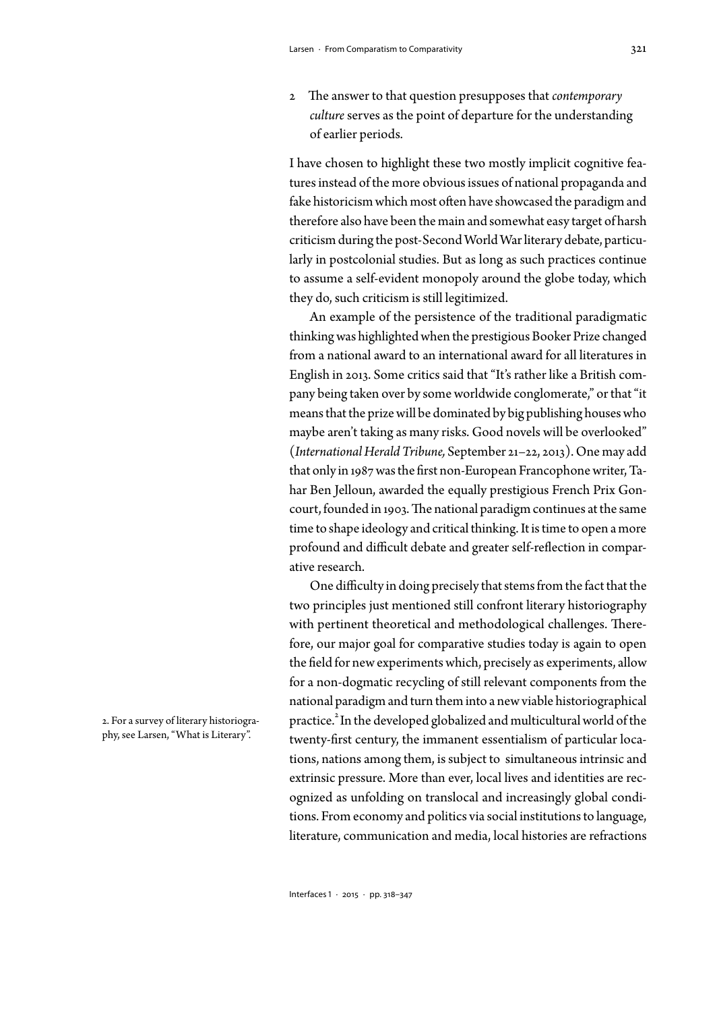2 The answer to that question presupposes that *contemporary culture* serves as the point of departure for the understanding of earlier periods.

I have chosen to highlight these two mostly implicit cognitive features instead of the more obvious issues of national propaganda and fake historicism which most often have showcased the paradigm and therefore also have been the main and somewhat easy target of harsh criticism during the post-Second World War literary debate, particularly in postcolonial studies. But as long as such practices continue to assume a self-evident monopoly around the globe today, which they do, such criticism is still legitimized.

An example of the persistence of the traditional paradigmatic thinking was highlighted when the prestigious Booker Prize changed from a national award to an international award for all literatures in English in 2013. Some critics said that "It's rather like a British company being taken over by some worldwide conglomerate," or that "it means that the prize will be dominated by big publishing houses who maybe aren't taking as many risks. Good novels will be overlooked" (*International Herald Tribune,* September 21–22, 2013). One may add that only in 1987 was the first non-European Francophone writer, Tahar Ben Jelloun, awarded the equally prestigious French Prix Goncourt, founded in 1903. The national paradigm continues at the same time to shape ideology and critical thinking. It is time to open a more profound and difficult debate and greater self-reflection in comparative research.

One difficulty in doing precisely that stems from the fact that the two principles just mentioned still confront literary historiography with pertinent theoretical and methodological challenges. Therefore, our major goal for comparative studies today is again to open the field for new experiments which, precisely as experiments, allow for a non-dogmatic recycling of still relevant components from the national paradigm and turn them into a new viable historiographical practice.<sup>2</sup> In the developed globalized and multicultural world of the twenty-first century, the immanent essentialism of particular locations, nations among them, is subject to simultaneous intrinsic and extrinsic pressure. More than ever, local lives and identities are recognized as unfolding on translocal and increasingly global conditions. From economy and politics via social institutions to language, literature, communication and media, local histories are refractions

2. For a survey of literary historiography, see Larsen, "What is Literary".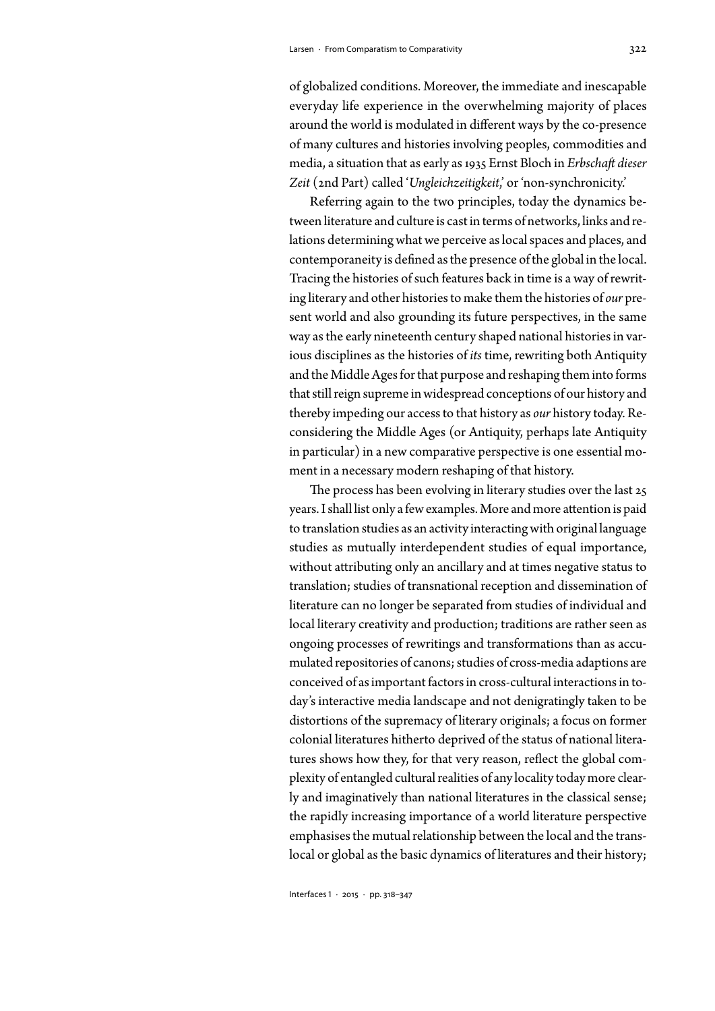of globalized conditions. Moreover, the immediate and inescapable everyday life experience in the overwhelming majority of places around the world is modulated in different ways by the co-presence of many cultures and histories involving peoples, commodities and media, a situation that as early as 1935 Ernst Bloch in *Erbschaft dieser Zeit* (2nd Part) called '*Ungleichzeitigkeit*,' or 'non-synchronicity.'

Referring again to the two principles, today the dynamics between literature and culture is cast in terms of networks, links and relations determining what we perceive as local spaces and places, and contemporaneity is defined as the presence of the global in the local. Tracing the histories of such features back in time is a way of rewriting literary and other histories to make them the histories of *our* present world and also grounding its future perspectives, in the same way as the early nineteenth century shaped national histories in various disciplines as the histories of *its* time, rewriting both Antiquity and the Middle Ages for that purpose and reshaping them into forms that still reign supreme in widespread conceptions of our history and thereby impeding our access to that history as *our* history today. Reconsidering the Middle Ages (or Antiquity, perhaps late Antiquity in particular) in a new comparative perspective is one essential moment in a necessary modern reshaping of that history.

The process has been evolving in literary studies over the last 25 years. I shall list only a few examples. More and more attention is paid to translation studies as an activity interacting with original language studies as mutually interdependent studies of equal importance, without attributing only an ancillary and at times negative status to translation; studies of transnational reception and dissemination of literature can no longer be separated from studies of individual and local literary creativity and production; traditions are rather seen as ongoing processes of rewritings and transformations than as accumulated repositories of canons; studies of cross-media adaptions are conceived of as important factors in cross-cultural interactions in today's interactive media landscape and not denigratingly taken to be distortions of the supremacy of literary originals; a focus on former colonial literatures hitherto deprived of the status of national literatures shows how they, for that very reason, reflect the global complexity of entangled cultural realities of any locality today more clearly and imaginatively than national literatures in the classical sense; the rapidly increasing importance of a world literature perspective emphasises the mutual relationship between the local and the translocal or global as the basic dynamics of literatures and their history;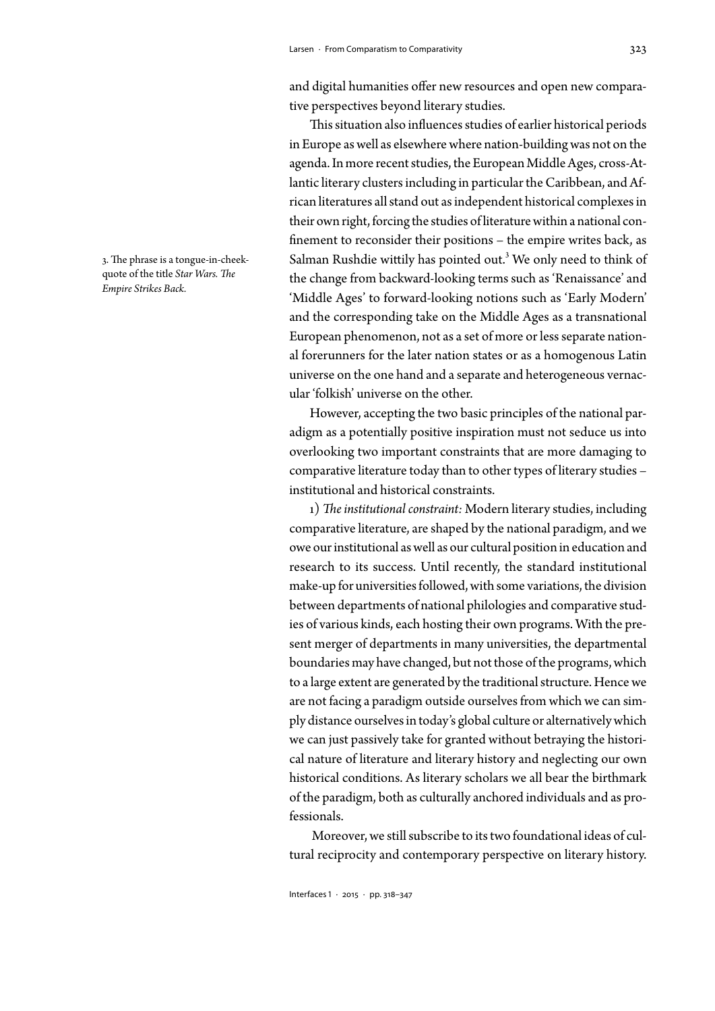and digital humanities offer new resources and open new comparative perspectives beyond literary studies.

This situation also influences studies of earlier historical periods in Europe as well as elsewhere where nation-building was not on the agenda. In more recent studies, the European Middle Ages, cross-Atlantic literary clusters including in particular the Caribbean, and African literatures all stand out as independent historical complexes in their own right, forcing the studies of literature within a national confinement to reconsider their positions – the empire writes back, as Salman Rushdie wittily has pointed out.<sup>3</sup> We only need to think of the change from backward-looking terms such as 'Renaissance' and 'Middle Ages' to forward-looking notions such as 'Early Modern' and the corresponding take on the Middle Ages as a transnational European phenomenon, not as a set of more or less separate national forerunners for the later nation states or as a homogenous Latin universe on the one hand and a separate and heterogeneous vernacular 'folkish' universe on the other.

However, accepting the two basic principles of the national paradigm as a potentially positive inspiration must not seduce us into overlooking two important constraints that are more damaging to comparative literature today than to other types of literary studies – institutional and historical constraints.

1) *The institutional constraint:* Modern literary studies, including comparative literature, are shaped by the national paradigm, and we owe our institutional as well as our cultural position in education and research to its success. Until recently, the standard institutional make-up for universities followed, with some variations, the division between departments of national philologies and comparative studies of various kinds, each hosting their own programs. With the present merger of departments in many universities, the departmental boundaries may have changed, but not those of the programs, which to a large extent are generated by the traditional structure. Hence we are not facing a paradigm outside ourselves from which we can simply distance ourselves in today's global culture or alternatively which we can just passively take for granted without betraying the historical nature of literature and literary history and neglecting our own historical conditions. As literary scholars we all bear the birthmark of the paradigm, both as culturally anchored individuals and as professionals.

 Moreover, we still subscribe to its two foundational ideas of cultural reciprocity and contemporary perspective on literary history.

3. The phrase is a tongue-in-cheekquote of the title *Star Wars. The Empire Strikes Back.*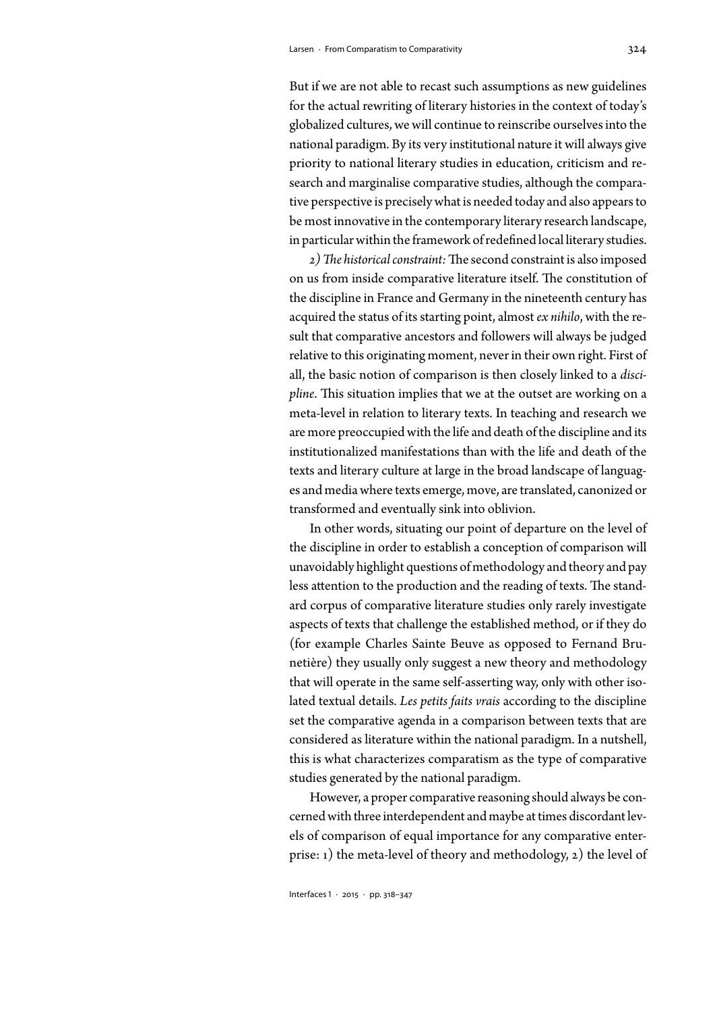But if we are not able to recast such assumptions as new guidelines for the actual rewriting of literary histories in the context of today's globalized cultures, we will continue to reinscribe ourselves into the national paradigm. By its very institutional nature it will always give priority to national literary studies in education, criticism and research and marginalise comparative studies, although the comparative perspective is precisely what is needed today and also appears to be most innovative in the contemporary literary research landscape, in particular within the framework of redefined local literary studies.

*2) The historical constraint:* The second constraint is also imposed on us from inside comparative literature itself. The constitution of the discipline in France and Germany in the nineteenth century has acquired the status of its starting point, almost *ex nihilo*, with the result that comparative ancestors and followers will always be judged relative to this originating moment, never in their own right. First of all, the basic notion of comparison is then closely linked to a *discipline*. This situation implies that we at the outset are working on a meta-level in relation to literary texts. In teaching and research we are more preoccupied with the life and death of the discipline and its institutionalized manifestations than with the life and death of the texts and literary culture at large in the broad landscape of languages and media where texts emerge, move, are translated, canonized or transformed and eventually sink into oblivion.

In other words, situating our point of departure on the level of the discipline in order to establish a conception of comparison will unavoidably highlight questions of methodology and theory and pay less attention to the production and the reading of texts. The standard corpus of comparative literature studies only rarely investigate aspects of texts that challenge the established method, or if they do (for example Charles Sainte Beuve as opposed to Fernand Brunetière) they usually only suggest a new theory and methodology that will operate in the same self-asserting way, only with other isolated textual details. *Les petits faits vrais* according to the discipline set the comparative agenda in a comparison between texts that are considered as literature within the national paradigm. In a nutshell, this is what characterizes comparatism as the type of comparative studies generated by the national paradigm.

However, a proper comparative reasoning should always be concerned with three interdependent and maybe at times discordant levels of comparison of equal importance for any comparative enterprise: 1) the meta-level of theory and methodology, 2) the level of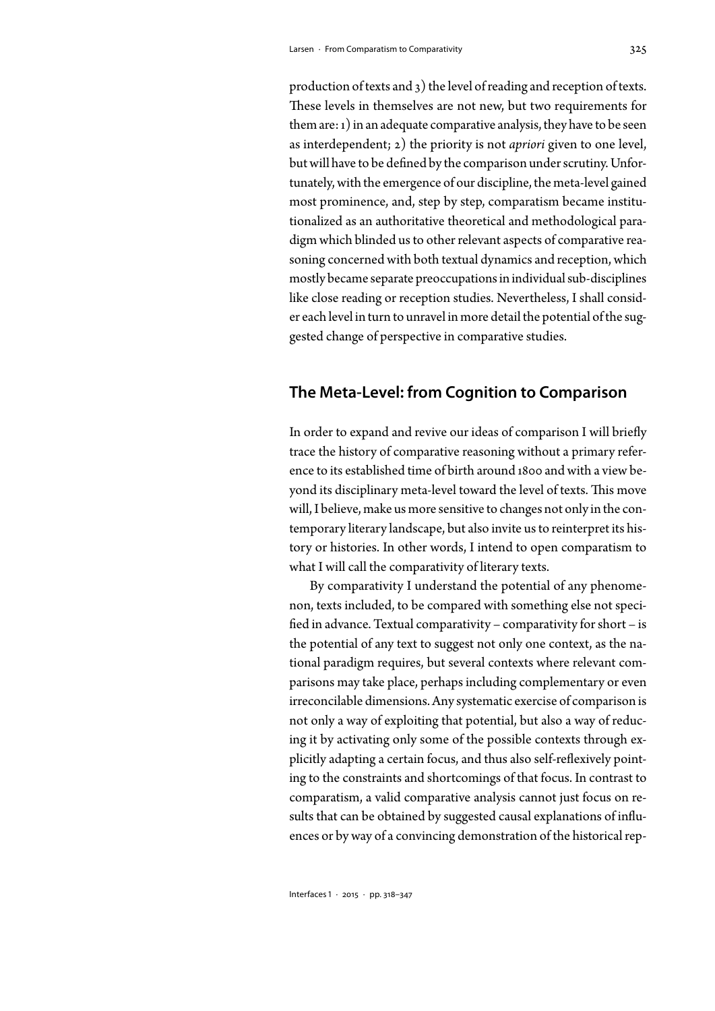production of texts and 3) the level of reading and reception of texts. These levels in themselves are not new, but two requirements for them are: 1) in an adequate comparative analysis, they have to be seen as interdependent; 2) the priority is not *apriori* given to one level, but will have to be defined by the comparison under scrutiny. Unfortunately, with the emergence of our discipline, the meta-level gained most prominence, and, step by step, comparatism became institutionalized as an authoritative theoretical and methodological paradigm which blinded us to other relevant aspects of comparative reasoning concerned with both textual dynamics and reception, which mostly became separate preoccupations in individual sub-disciplines like close reading or reception studies. Nevertheless, I shall consider each level in turn to unravel in more detail the potential of the suggested change of perspective in comparative studies.

# **The Meta-Level: from Cognition to Comparison**

In order to expand and revive our ideas of comparison I will briefly trace the history of comparative reasoning without a primary reference to its established time of birth around 1800 and with a view beyond its disciplinary meta-level toward the level of texts. This move will, I believe, make us more sensitive to changes not only in the contemporary literary landscape, but also invite us to reinterpret its history or histories. In other words, I intend to open comparatism to what I will call the comparativity of literary texts.

By comparativity I understand the potential of any phenomenon, texts included, to be compared with something else not specified in advance. Textual comparativity – comparativity for short – is the potential of any text to suggest not only one context, as the national paradigm requires, but several contexts where relevant comparisons may take place, perhaps including complementary or even irreconcilable dimensions. Any systematic exercise of comparison is not only a way of exploiting that potential, but also a way of reducing it by activating only some of the possible contexts through explicitly adapting a certain focus, and thus also self-reflexively pointing to the constraints and shortcomings of that focus. In contrast to comparatism, a valid comparative analysis cannot just focus on results that can be obtained by suggested causal explanations of influences or by way of a convincing demonstration of the historical rep-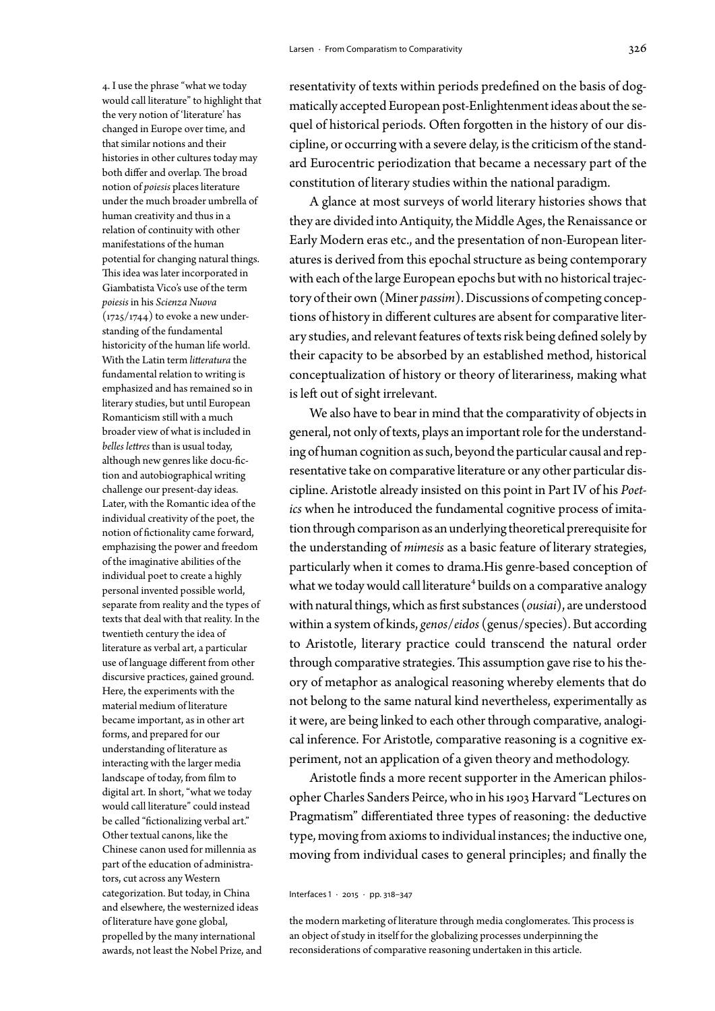4. I use the phrase "what we today would call literature" to highlight that the very notion of 'literature' has changed in Europe over time, and that similar notions and their histories in other cultures today may both differ and overlap. The broad notion of *poiesis* places literature under the much broader umbrella of human creativity and thus in a relation of continuity with other manifestations of the human potential for changing natural things. This idea was later incorporated in Giambatista Vico's use of the term *poiesis* in his *Scienza Nuova*  $(1725/1744)$  to evoke a new understanding of the fundamental historicity of the human life world. With the Latin term *litteratura* the fundamental relation to writing is emphasized and has remained so in literary studies, but until European Romanticism still with a much broader view of what is included in *belles lettres* than is usual today, although new genres like docu-fiction and autobiographical writing challenge our present-day ideas. Later, with the Romantic idea of the individual creativity of the poet, the notion of fictionality came forward, emphazising the power and freedom of the imaginative abilities of the individual poet to create a highly personal invented possible world, separate from reality and the types of texts that deal with that reality. In the twentieth century the idea of literature as verbal art, a particular use of language different from other discursive practices, gained ground. Here, the experiments with the material medium of literature became important, as in other art forms, and prepared for our understanding of literature as interacting with the larger media landscape of today, from film to digital art. In short, "what we today would call literature" could instead be called "fictionalizing verbal art." Other textual canons, like the Chinese canon used for millennia as part of the education of administrators, cut across any Western categorization. But today, in China and elsewhere, the westernized ideas of literature have gone global, propelled by the many international awards, not least the Nobel Prize, and resentativity of texts within periods predefined on the basis of dogmatically accepted European post-Enlightenment ideas about the sequel of historical periods. Often forgotten in the history of our discipline, or occurring with a severe delay, is the criticism of the standard Eurocentric periodization that became a necessary part of the constitution of literary studies within the national paradigm.

A glance at most surveys of world literary histories shows that they are divided into Antiquity, the Middle Ages, the Renaissance or Early Modern eras etc., and the presentation of non-European literatures is derived from this epochal structure as being contemporary with each of the large European epochs but with no historical trajectory of their own (Miner *passim*). Discussions of competing conceptions of history in different cultures are absent for comparative literary studies, and relevant features of texts risk being defined solely by their capacity to be absorbed by an established method, historical conceptualization of history or theory of literariness, making what is left out of sight irrelevant.

We also have to bear in mind that the comparativity of objects in general, not only of texts, plays an important role for the understanding of human cognition as such, beyond the particular causal and representative take on comparative literature or any other particular discipline. Aristotle already insisted on this point in Part IV of his *Poetics* when he introduced the fundamental cognitive process of imitation through comparison as an underlying theoretical prerequisite for the understanding of *mimesis* as a basic feature of literary strategies, particularly when it comes to drama.His genre-based conception of what we today would call literature<sup>4</sup> builds on a comparative analogy with natural things, which as first substances (*ousiai*), are understood within a system of kinds, *genos*/*eidos* (genus/species). But according to Aristotle, literary practice could transcend the natural order through comparative strategies. This assumption gave rise to his theory of metaphor as analogical reasoning whereby elements that do not belong to the same natural kind nevertheless, experimentally as it were, are being linked to each other through comparative, analogical inference. For Aristotle, comparative reasoning is a cognitive experiment, not an application of a given theory and methodology.

Aristotle finds a more recent supporter in the American philosopher Charles Sanders Peirce, who in his 1903 Harvard "Lectures on Pragmatism" differentiated three types of reasoning: the deductive type, moving from axioms to individual instances; the inductive one, moving from individual cases to general principles; and finally the

Interfaces 1 · 2015 · pp. 318–347

the modern marketing of literature through media conglomerates. This process is an object of study in itself for the globalizing processes underpinning the reconsiderations of comparative reasoning undertaken in this article.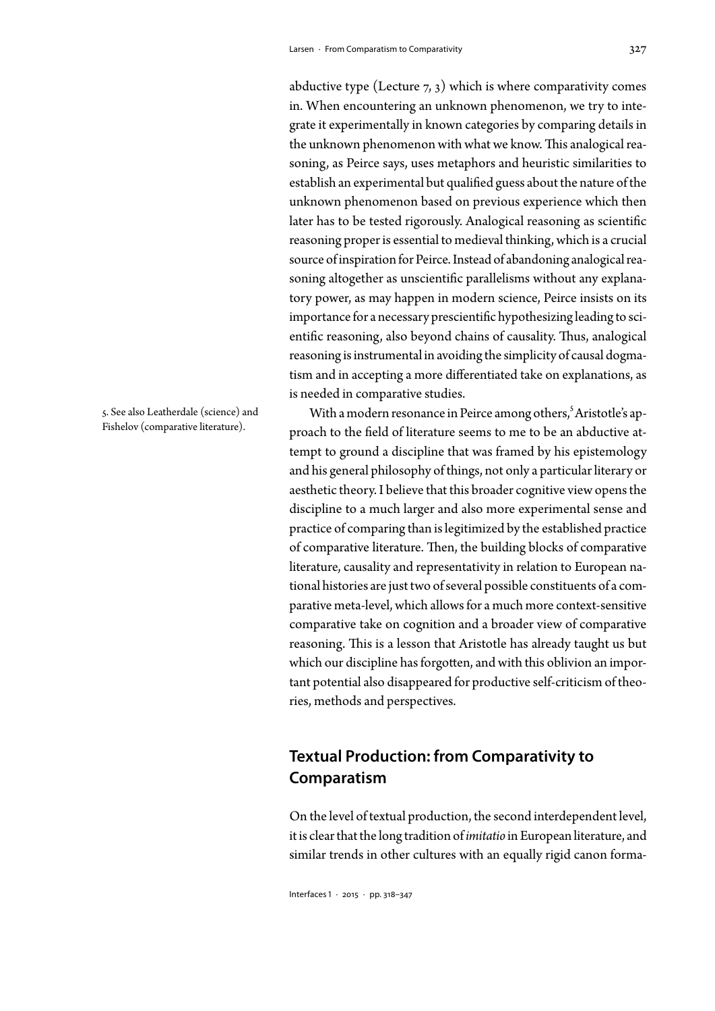abductive type (Lecture  $7, 3$ ) which is where comparativity comes in. When encountering an unknown phenomenon, we try to integrate it experimentally in known categories by comparing details in the unknown phenomenon with what we know. This analogical reasoning, as Peirce says, uses metaphors and heuristic similarities to establish an experimental but qualified guess about the nature of the unknown phenomenon based on previous experience which then later has to be tested rigorously. Analogical reasoning as scientific reasoning proper is essential to medieval thinking, which is a crucial source of inspiration for Peirce. Instead of abandoning analogical reasoning altogether as unscientific parallelisms without any explanatory power, as may happen in modern science, Peirce insists on its importance for a necessary prescientific hypothesizing leading to scientific reasoning, also beyond chains of causality. Thus, analogical reasoning is instrumental in avoiding the simplicity of causal dogmatism and in accepting a more differentiated take on explanations, as is needed in comparative studies.

With a modern resonance in Peirce among others,<sup>5</sup> Aristotle's approach to the field of literature seems to me to be an abductive attempt to ground a discipline that was framed by his epistemology and his general philosophy of things, not only a particular literary or aesthetic theory. I believe that this broader cognitive view opens the discipline to a much larger and also more experimental sense and practice of comparing than is legitimized by the established practice of comparative literature. Then, the building blocks of comparative literature, causality and representativity in relation to European national histories are just two of several possible constituents of a comparative meta-level, which allows for a much more context-sensitive comparative take on cognition and a broader view of comparative reasoning. This is a lesson that Aristotle has already taught us but which our discipline has forgotten, and with this oblivion an important potential also disappeared for productive self-criticism of theories, methods and perspectives.

# **Textual Production: from Comparativity to Comparatism**

On the level of textual production, the second interdependent level, it is clear that the long tradition of *imitatio* in European literature, and similar trends in other cultures with an equally rigid canon forma-

Interfaces 1 · 2015 · pp. 318–347

5. See also Leatherdale (science) and Fishelov (comparative literature).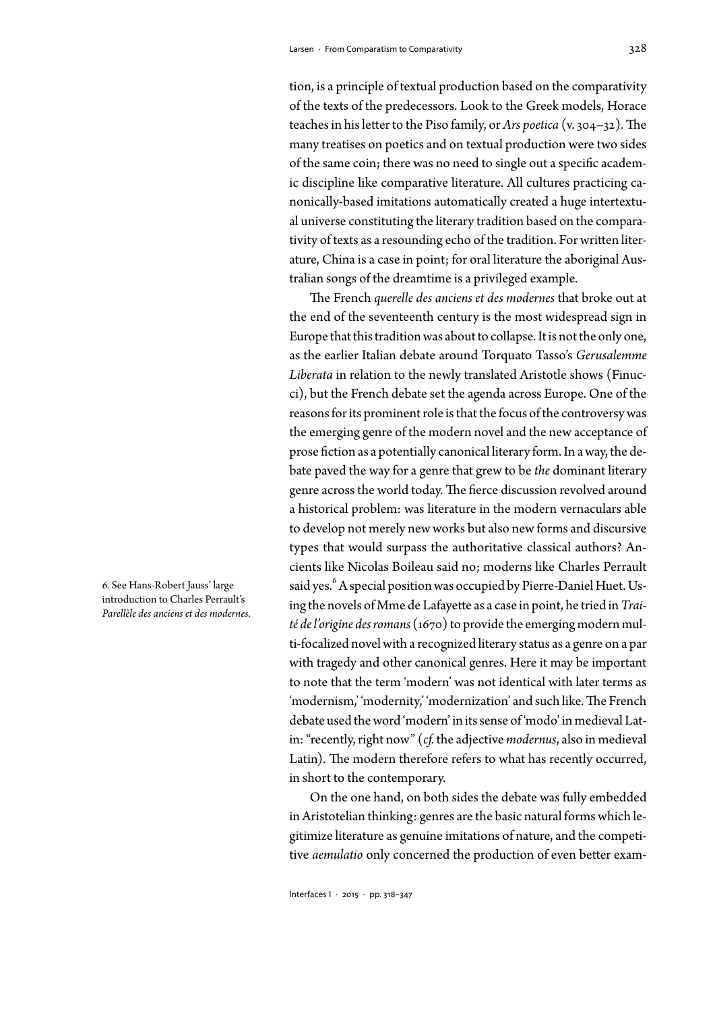tion, is a principle of textual production based on the comparativity of the texts of the predecessors. Look to the Greek models, Horace teaches in his letter to the Piso family, or *Ars poetica* (v. 304–32). The many treatises on poetics and on textual production were two sides of the same coin; there was no need to single out a specific academic discipline like comparative literature. All cultures practicing canonically-based imitations automatically created a huge intertextual universe constituting the literary tradition based on the comparativity of texts as a resounding echo of the tradition. For written literature, China is a case in point; for oral literature the aboriginal Australian songs of the dreamtime is a privileged example.

The French *querelle des anciens et des modernes* that broke out at the end of the seventeenth century is the most widespread sign in Europe that this tradition was about to collapse. It is not the only one, as the earlier Italian debate around Torquato Tasso's *Gerusalemme Liberata* in relation to the newly translated Aristotle shows (Finucci), but the French debate set the agenda across Europe. One of the reasons for its prominent role is that the focus of the controversy was the emerging genre of the modern novel and the new acceptance of prose fiction as a potentially canonical literary form. In a way, the debate paved the way for a genre that grew to be *the* dominant literary genre across the world today. The fierce discussion revolved around a historical problem: was literature in the modern vernaculars able to develop not merely new works but also new forms and discursive types that would surpass the authoritative classical authors? Ancients like Nicolas Boileau said no; moderns like Charles Perrault said yes.<sup>6</sup> A special position was occupied by Pierre-Daniel Huet. Using the novels of Mme de Lafayette as a case in point, he tried in *Traité de l'origine des romans* (1670) to provide the emerging modern multi-focalized novel with a recognized literary status as a genre on a par with tragedy and other canonical genres. Here it may be important to note that the term 'modern' was not identical with later terms as 'modernism,' 'modernity,' 'modernization' and such like. The French debate used the word 'modern' in its sense of 'modo' in medieval Latin: "recently, right now" (*cf.* the adjective *modernus*, also in medieval Latin). The modern therefore refers to what has recently occurred, in short to the contemporary.

On the one hand, on both sides the debate was fully embedded in Aristotelian thinking: genres are the basic natural forms which legitimize literature as genuine imitations of nature, and the competitive *aemulatio* only concerned the production of even better exam-

6. See Hans-Robert Jauss' large introduction to Charles Perrault's *Parellèle des anciens et des modernes*.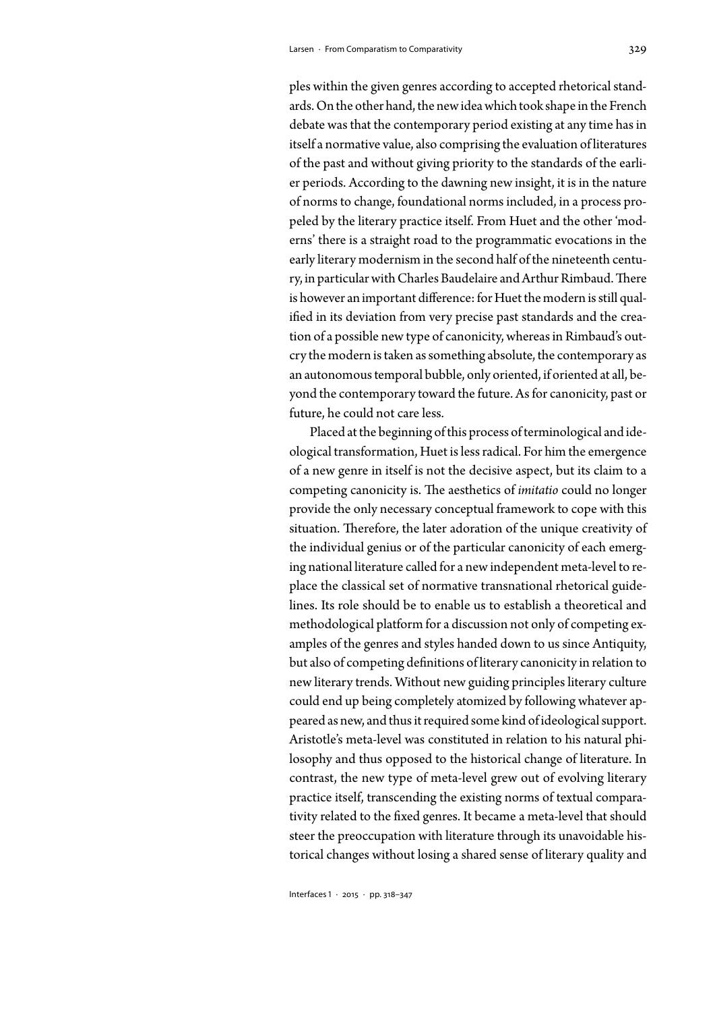ples within the given genres according to accepted rhetorical standards. On the other hand, the new idea which took shape in the French debate was that the contemporary period existing at any time has in itself a normative value, also comprising the evaluation of literatures of the past and without giving priority to the standards of the earlier periods. According to the dawning new insight, it is in the nature of norms to change, foundational norms included, in a process propeled by the literary practice itself. From Huet and the other 'moderns' there is a straight road to the programmatic evocations in the early literary modernism in the second half of the nineteenth century, in particular with Charles Baudelaire and Arthur Rimbaud. There is however an important difference: for Huet the modern is still qualified in its deviation from very precise past standards and the creation of a possible new type of canonicity, whereas in Rimbaud's outcry the modern is taken as something absolute, the contemporary as an autonomous temporal bubble, only oriented, if oriented at all, beyond the contemporary toward the future. As for canonicity, past or future, he could not care less.

Placed at the beginning of this process of terminological and ideological transformation, Huet is less radical. For him the emergence of a new genre in itself is not the decisive aspect, but its claim to a competing canonicity is. The aesthetics of *imitatio* could no longer provide the only necessary conceptual framework to cope with this situation. Therefore, the later adoration of the unique creativity of the individual genius or of the particular canonicity of each emerging national literature called for a new independent meta-level to replace the classical set of normative transnational rhetorical guidelines. Its role should be to enable us to establish a theoretical and methodological platform for a discussion not only of competing examples of the genres and styles handed down to us since Antiquity, but also of competing definitions of literary canonicity in relation to new literary trends. Without new guiding principles literary culture could end up being completely atomized by following whatever appeared as new, and thus it required some kind of ideological support. Aristotle's meta-level was constituted in relation to his natural philosophy and thus opposed to the historical change of literature. In contrast, the new type of meta-level grew out of evolving literary practice itself, transcending the existing norms of textual comparativity related to the fixed genres. It became a meta-level that should steer the preoccupation with literature through its unavoidable historical changes without losing a shared sense of literary quality and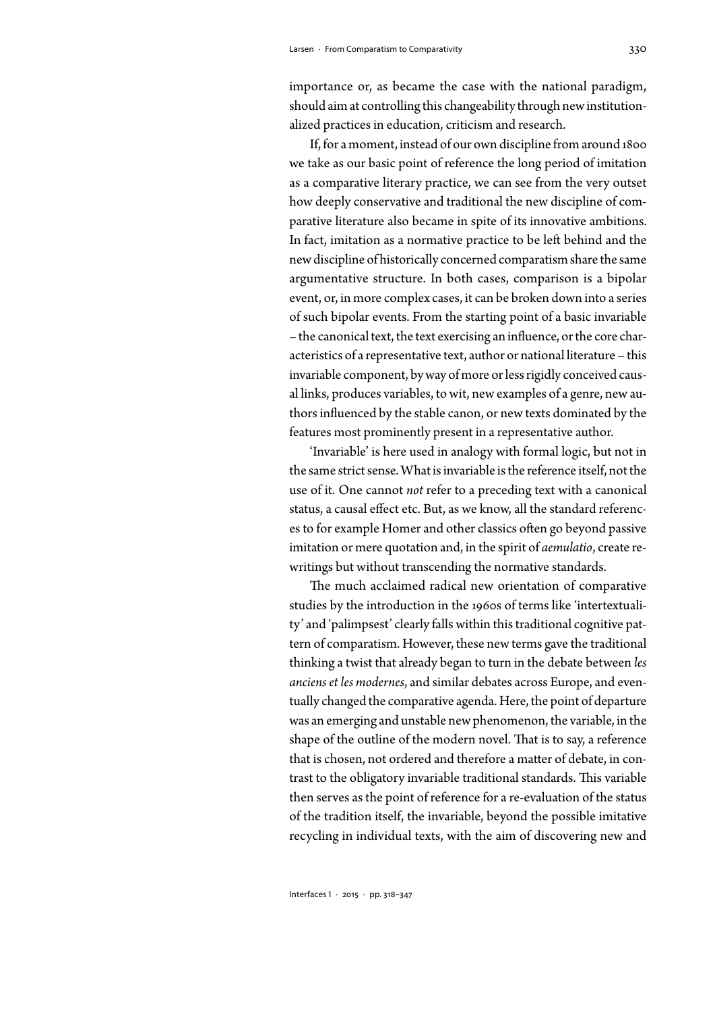importance or, as became the case with the national paradigm, should aim at controlling this changeability through new institutionalized practices in education, criticism and research.

If, for a moment, instead of our own discipline from around 1800 we take as our basic point of reference the long period of imitation as a comparative literary practice, we can see from the very outset how deeply conservative and traditional the new discipline of comparative literature also became in spite of its innovative ambitions. In fact, imitation as a normative practice to be left behind and the new discipline of historically concerned comparatism share the same argumentative structure. In both cases, comparison is a bipolar event, or, in more complex cases, it can be broken down into a series of such bipolar events. From the starting point of a basic invariable – the canonical text, the text exercising an influence, or the core characteristics of a representative text, author or national literature – this invariable component, by way of more or less rigidly conceived causal links, produces variables, to wit, new examples of a genre, new authors influenced by the stable canon, or new texts dominated by the features most prominently present in a representative author.

'Invariable' is here used in analogy with formal logic, but not in the same strict sense. What is invariable is the reference itself, not the use of it. One cannot *not* refer to a preceding text with a canonical status, a causal effect etc. But, as we know, all the standard references to for example Homer and other classics often go beyond passive imitation or mere quotation and, in the spirit of *aemulatio*, create rewritings but without transcending the normative standards.

The much acclaimed radical new orientation of comparative studies by the introduction in the 1960s of terms like 'intertextuality' and 'palimpsest' clearly falls within this traditional cognitive pattern of comparatism. However, these new terms gave the traditional thinking a twist that already began to turn in the debate between *les anciens et les modernes*, and similar debates across Europe, and eventually changed the comparative agenda. Here, the point of departure was an emerging and unstable new phenomenon, the variable, in the shape of the outline of the modern novel. That is to say, a reference that is chosen, not ordered and therefore a matter of debate, in contrast to the obligatory invariable traditional standards. This variable then serves as the point of reference for a re-evaluation of the status of the tradition itself, the invariable, beyond the possible imitative recycling in individual texts, with the aim of discovering new and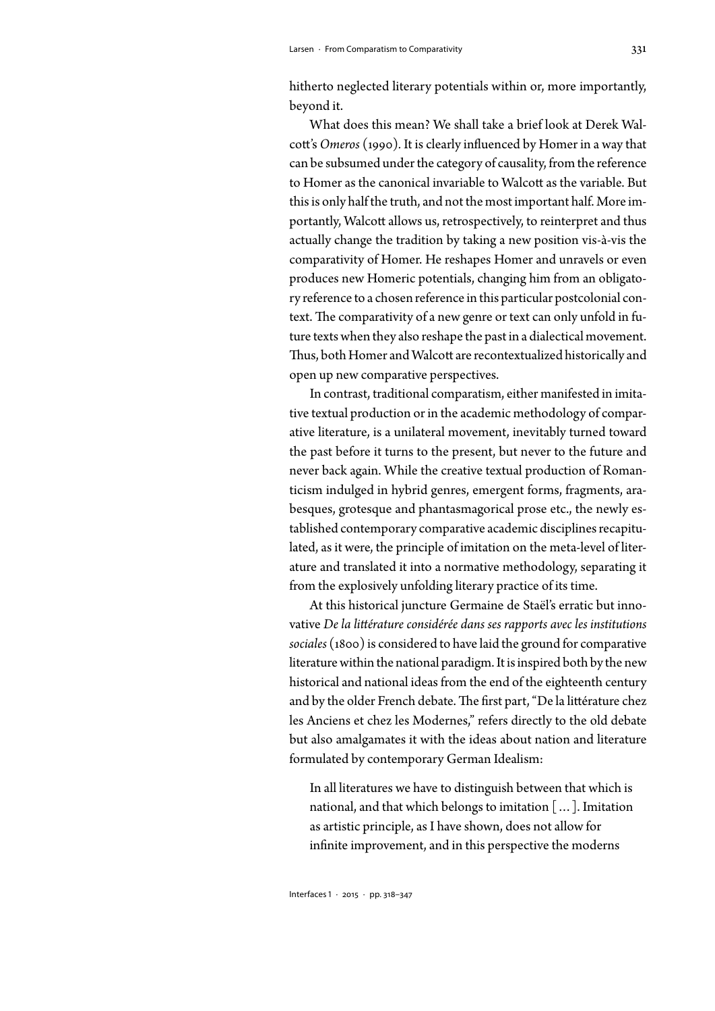hitherto neglected literary potentials within or, more importantly, beyond it.

What does this mean? We shall take a brief look at Derek Walcott's *Omeros* (1990)*.* It is clearly influenced by Homer in a way that can be subsumed under the category of causality, from the reference to Homer as the canonical invariable to Walcott as the variable. But this is only half the truth, and not the most important half. More importantly, Walcott allows us, retrospectively, to reinterpret and thus actually change the tradition by taking a new position vis-à-vis the comparativity of Homer. He reshapes Homer and unravels or even produces new Homeric potentials, changing him from an obligatory reference to a chosen reference in this particular postcolonial context. The comparativity of a new genre or text can only unfold in future texts when they also reshape the past in a dialectical movement. Thus, both Homer and Walcott are recontextualized historically and open up new comparative perspectives.

In contrast, traditional comparatism, either manifested in imitative textual production or in the academic methodology of comparative literature, is a unilateral movement, inevitably turned toward the past before it turns to the present, but never to the future and never back again. While the creative textual production of Romanticism indulged in hybrid genres, emergent forms, fragments, arabesques, grotesque and phantasmagorical prose etc., the newly established contemporary comparative academic disciplines recapitulated, as it were, the principle of imitation on the meta-level of literature and translated it into a normative methodology, separating it from the explosively unfolding literary practice of its time.

At this historical juncture Germaine de Staël's erratic but innovative *De la littérature considérée dans ses rapports avec les institutions sociales* (1800) is considered to have laid the ground for comparative literature within the national paradigm. It is inspired both by the new historical and national ideas from the end of the eighteenth century and by the older French debate. The first part, "De la littérature chez les Anciens et chez les Modernes," refers directly to the old debate but also amalgamates it with the ideas about nation and literature formulated by contemporary German Idealism:

In all literatures we have to distinguish between that which is national, and that which belongs to imitation […]. Imitation as artistic principle, as I have shown, does not allow for infinite improvement, and in this perspective the moderns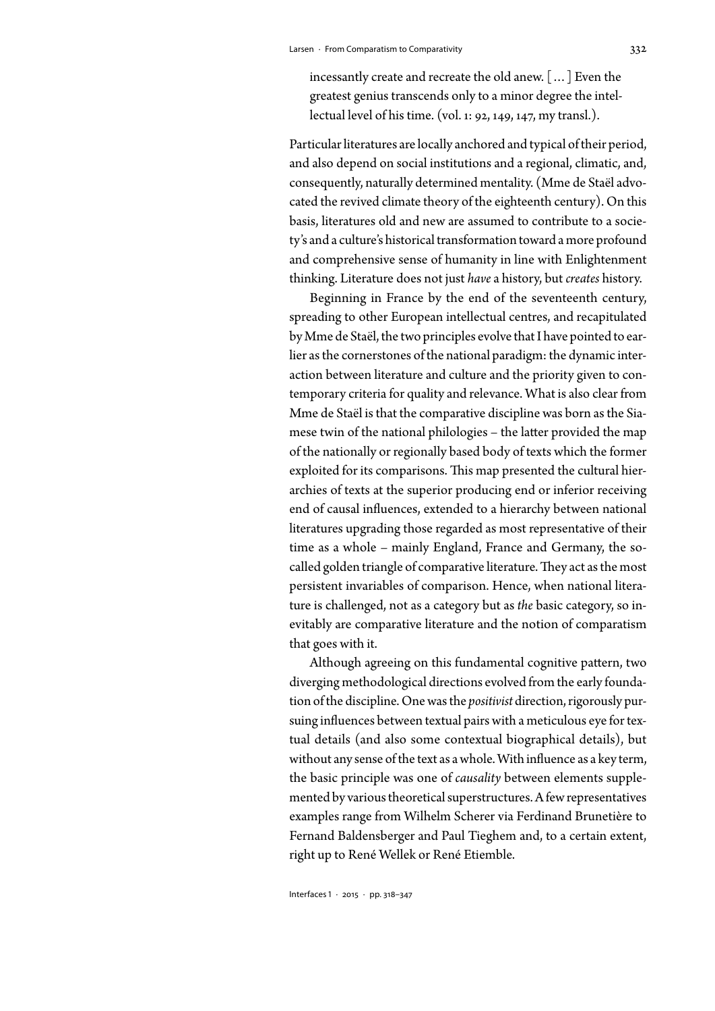incessantly create and recreate the old anew. […] Even the greatest genius transcends only to a minor degree the intellectual level of his time. (vol. 1: 92, 149, 147, my transl.).

Particular literatures are locally anchored and typical of their period, and also depend on social institutions and a regional, climatic, and, consequently, naturally determined mentality. (Mme de Staël advocated the revived climate theory of the eighteenth century). On this basis, literatures old and new are assumed to contribute to a society's and a culture's historical transformation toward a more profound and comprehensive sense of humanity in line with Enlightenment thinking. Literature does not just *have* a history, but *creates* history.

Beginning in France by the end of the seventeenth century, spreading to other European intellectual centres, and recapitulated by Mme de Staël, the two principles evolve that I have pointed to earlier as the cornerstones of the national paradigm: the dynamic interaction between literature and culture and the priority given to contemporary criteria for quality and relevance. What is also clear from Mme de Staël is that the comparative discipline was born as the Siamese twin of the national philologies – the latter provided the map of the nationally or regionally based body of texts which the former exploited for its comparisons. This map presented the cultural hierarchies of texts at the superior producing end or inferior receiving end of causal influences, extended to a hierarchy between national literatures upgrading those regarded as most representative of their time as a whole – mainly England, France and Germany, the socalled golden triangle of comparative literature. They act as the most persistent invariables of comparison. Hence, when national literature is challenged, not as a category but as *the* basic category, so inevitably are comparative literature and the notion of comparatism that goes with it.

Although agreeing on this fundamental cognitive pattern, two diverging methodological directions evolved from the early foundation of the discipline. One was the *positivist* direction, rigorously pursuing influences between textual pairs with a meticulous eye for textual details (and also some contextual biographical details), but without any sense of the text as a whole. With influence as a key term, the basic principle was one of *causality* between elements supplemented by various theoretical superstructures. A few representatives examples range from Wilhelm Scherer via Ferdinand Brunetière to Fernand Baldensberger and Paul Tieghem and, to a certain extent, right up to René Wellek or René Etiemble.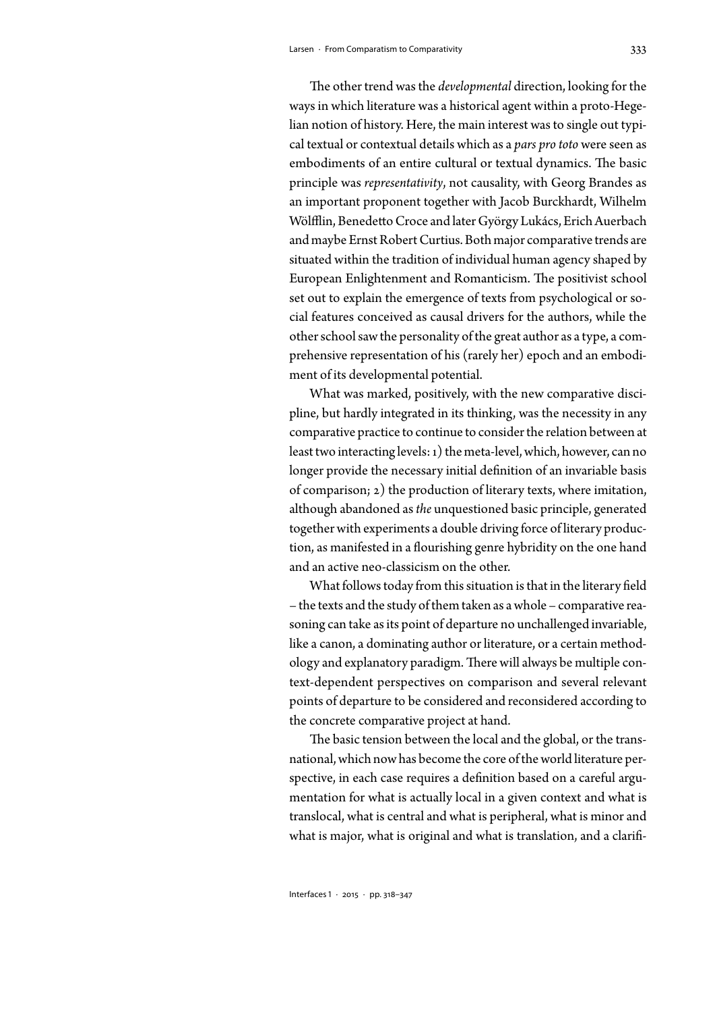The other trend was the *developmental* direction, looking for the ways in which literature was a historical agent within a proto-Hegelian notion of history. Here, the main interest was to single out typical textual or contextual details which as a *pars pro toto* were seen as embodiments of an entire cultural or textual dynamics. The basic principle was *representativity*, not causality, with Georg Brandes as an important proponent together with Jacob Burckhardt, Wilhelm Wölfflin, Benedetto Croce and later György Lukács, Erich Auerbach and maybe Ernst Robert Curtius. Both major comparative trends are situated within the tradition of individual human agency shaped by European Enlightenment and Romanticism. The positivist school set out to explain the emergence of texts from psychological or social features conceived as causal drivers for the authors, while the other school saw the personality of the great author as a type, a comprehensive representation of his (rarely her) epoch and an embodiment of its developmental potential.

What was marked, positively, with the new comparative discipline, but hardly integrated in its thinking, was the necessity in any comparative practice to continue to consider the relation between at least two interacting levels: 1) the meta-level, which, however, can no longer provide the necessary initial definition of an invariable basis of comparison; 2) the production of literary texts, where imitation, although abandoned as *the* unquestioned basic principle, generated together with experiments a double driving force of literary production, as manifested in a flourishing genre hybridity on the one hand and an active neo-classicism on the other.

What follows today from this situation is that in the literary field – the texts and the study of them taken as a whole – comparative reasoning can take as its point of departure no unchallenged invariable, like a canon, a dominating author or literature, or a certain methodology and explanatory paradigm. There will always be multiple context-dependent perspectives on comparison and several relevant points of departure to be considered and reconsidered according to the concrete comparative project at hand.

The basic tension between the local and the global, or the transnational, which now has become the core of the world literature perspective, in each case requires a definition based on a careful argumentation for what is actually local in a given context and what is translocal, what is central and what is peripheral, what is minor and what is major, what is original and what is translation, and a clarifi-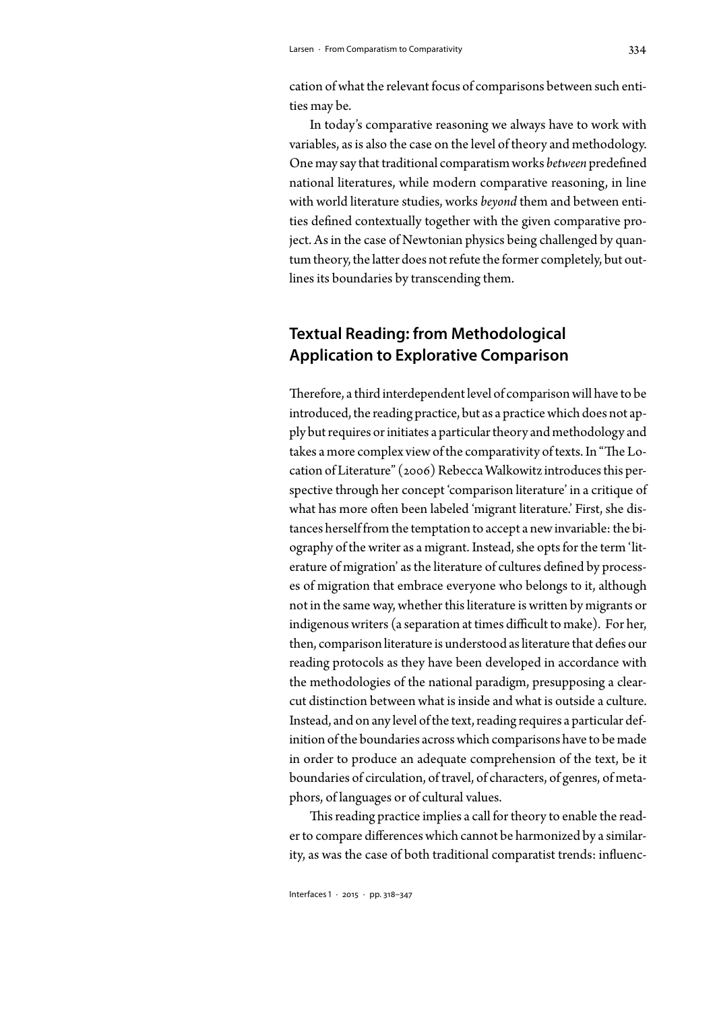cation of what the relevant focus of comparisons between such entities may be.

In today's comparative reasoning we always have to work with variables, as is also the case on the level of theory and methodology. One may say that traditional comparatism works *between* predefined national literatures, while modern comparative reasoning, in line with world literature studies, works *beyond* them and between entities defined contextually together with the given comparative project. As in the case of Newtonian physics being challenged by quantum theory, the latter does not refute the former completely, but outlines its boundaries by transcending them.

# **Textual Reading: from Methodological Application to Explorative Comparison**

Therefore, a third interdependent level of comparison will have to be introduced, the reading practice, but as a practice which does not apply but requires or initiates a particular theory and methodology and takes a more complex view of the comparativity of texts. In "The Location of Literature" (2006) Rebecca Walkowitz introduces this perspective through her concept 'comparison literature' in a critique of what has more often been labeled 'migrant literature.' First, she distances herself from the temptation to accept a new invariable: the biography of the writer as a migrant. Instead, she opts for the term 'literature of migration' as the literature of cultures defined by processes of migration that embrace everyone who belongs to it, although not in the same way, whether this literature is written by migrants or indigenous writers (a separation at times difficult to make). For her, then, comparison literature is understood as literature that defies our reading protocols as they have been developed in accordance with the methodologies of the national paradigm, presupposing a clearcut distinction between what is inside and what is outside a culture. Instead, and on any level of the text, reading requires a particular definition of the boundaries across which comparisons have to be made in order to produce an adequate comprehension of the text, be it boundaries of circulation, of travel, of characters, of genres, of metaphors, of languages or of cultural values.

This reading practice implies a call for theory to enable the reader to compare differences which cannot be harmonized by a similarity, as was the case of both traditional comparatist trends: influenc-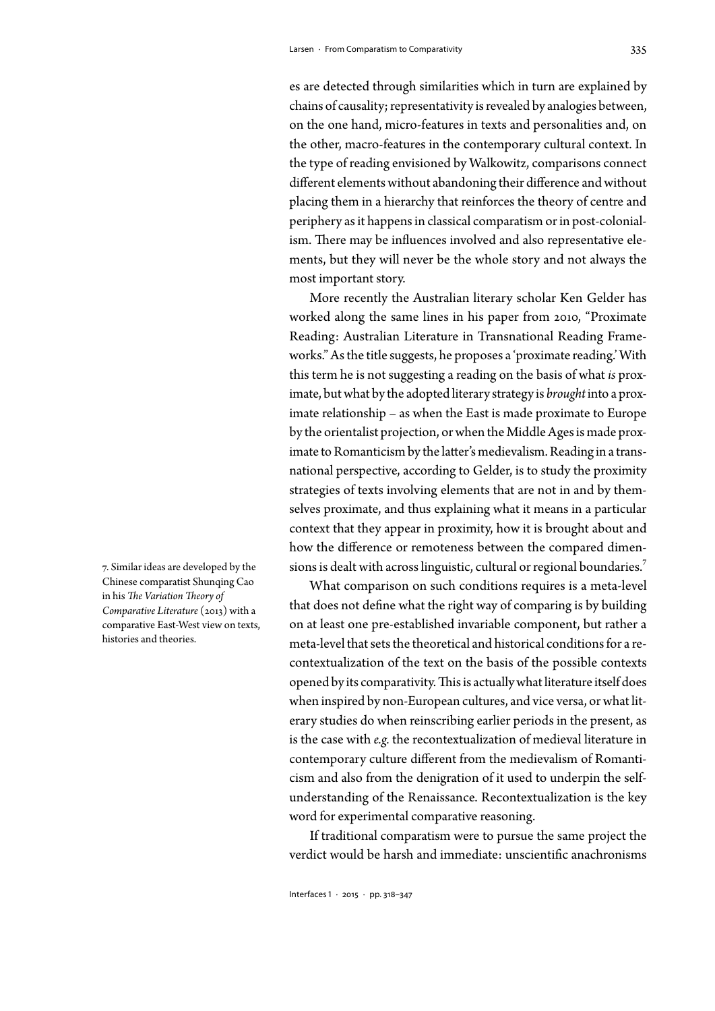es are detected through similarities which in turn are explained by chains of causality; representativity is revealed by analogies between, on the one hand, micro-features in texts and personalities and, on the other, macro-features in the contemporary cultural context. In the type of reading envisioned by Walkowitz, comparisons connect different elements without abandoning their difference and without placing them in a hierarchy that reinforces the theory of centre and periphery as it happens in classical comparatism or in post-colonialism. There may be influences involved and also representative elements, but they will never be the whole story and not always the most important story.

More recently the Australian literary scholar Ken Gelder has worked along the same lines in his paper from 2010, "Proximate Reading: Australian Literature in Transnational Reading Frameworks." As the title suggests, he proposes a 'proximate reading.' With this term he is not suggesting a reading on the basis of what *is* proximate, but what by the adopted literary strategy is *brought* into a proximate relationship – as when the East is made proximate to Europe by the orientalist projection, or when the Middle Ages is made proximate to Romanticism by the latter's medievalism. Reading in a transnational perspective, according to Gelder, is to study the proximity strategies of texts involving elements that are not in and by themselves proximate, and thus explaining what it means in a particular context that they appear in proximity, how it is brought about and how the difference or remoteness between the compared dimensions is dealt with across linguistic, cultural or regional boundaries.<sup>7</sup>

What comparison on such conditions requires is a meta-level that does not define what the right way of comparing is by building on at least one pre-established invariable component, but rather a meta-level that sets the theoretical and historical conditions for a recontextualization of the text on the basis of the possible contexts opened by its comparativity. This is actually what literature itself does when inspired by non-European cultures, and vice versa, or what literary studies do when reinscribing earlier periods in the present, as is the case with *e.g.* the recontextualization of medieval literature in contemporary culture different from the medievalism of Romanticism and also from the denigration of it used to underpin the selfunderstanding of the Renaissance. Recontextualization is the key word for experimental comparative reasoning.

If traditional comparatism were to pursue the same project the verdict would be harsh and immediate: unscientific anachronisms

7. Similar ideas are developed by the Chinese comparatist Shunqing Cao in his *The Variation Theory of Comparative Literature* (2013) with a comparative East-West view on texts, histories and theories.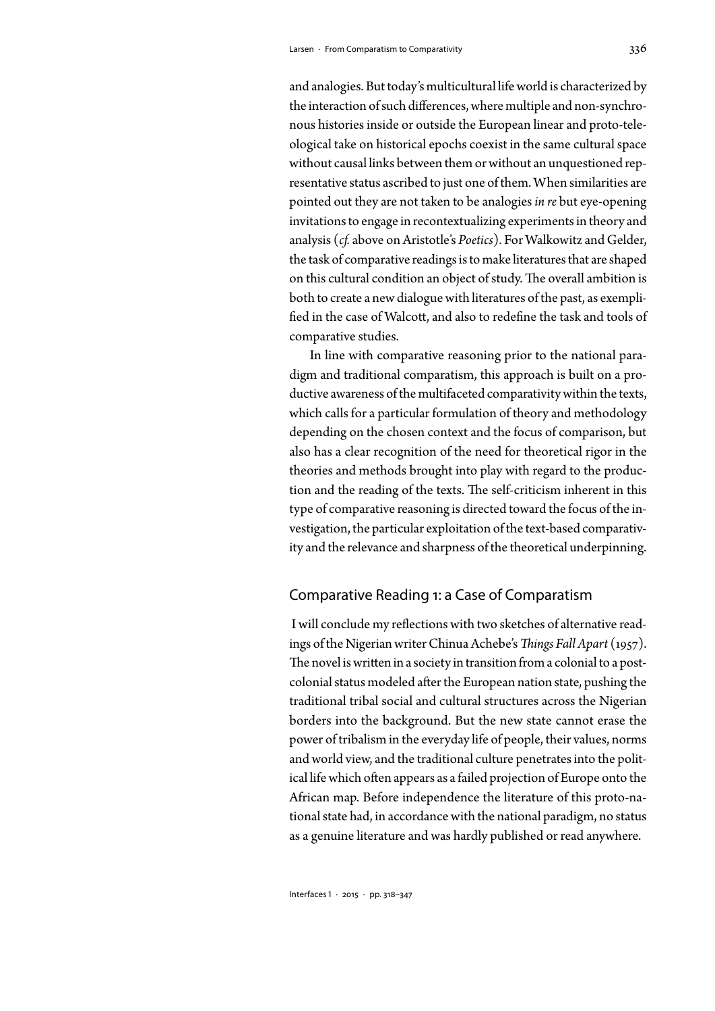and analogies. But today's multicultural life world is characterized by the interaction of such differences, where multiple and non-synchronous histories inside or outside the European linear and proto-teleological take on historical epochs coexist in the same cultural space without causal links between them or without an unquestioned representative status ascribed to just one of them. When similarities are pointed out they are not taken to be analogies *in re* but eye-opening invitations to engage in recontextualizing experiments in theory and analysis (*cf.* above on Aristotle's *Poetics*). For Walkowitz and Gelder, the task of comparative readings is to make literatures that are shaped on this cultural condition an object of study. The overall ambition is both to create a new dialogue with literatures of the past, as exemplified in the case of Walcott, and also to redefine the task and tools of comparative studies.

In line with comparative reasoning prior to the national paradigm and traditional comparatism, this approach is built on a productive awareness of the multifaceted comparativity within the texts, which calls for a particular formulation of theory and methodology depending on the chosen context and the focus of comparison, but also has a clear recognition of the need for theoretical rigor in the theories and methods brought into play with regard to the production and the reading of the texts. The self-criticism inherent in this type of comparative reasoning is directed toward the focus of the investigation, the particular exploitation of the text-based comparativity and the relevance and sharpness of the theoretical underpinning.

#### Comparative Reading 1: a Case of Comparatism

 I will conclude my reflections with two sketches of alternative readings of the Nigerian writer Chinua Achebe's *Things Fall Apart* (1957). The novel is written in a society in transition from a colonial to a postcolonial status modeled after the European nation state, pushing the traditional tribal social and cultural structures across the Nigerian borders into the background. But the new state cannot erase the power of tribalism in the everyday life of people, their values, norms and world view, and the traditional culture penetrates into the political life which often appears as a failed projection of Europe onto the African map. Before independence the literature of this proto-national state had, in accordance with the national paradigm, no status as a genuine literature and was hardly published or read anywhere.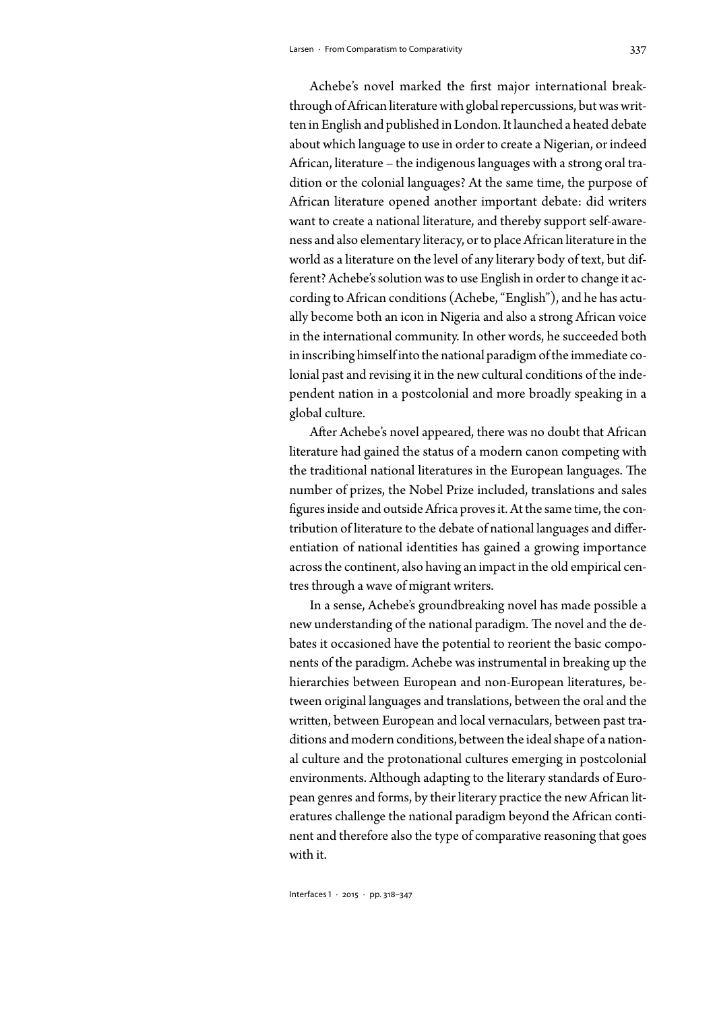Achebe's novel marked the first major international breakthrough of African literature with global repercussions, but was written in English and published in London. It launched a heated debate about which language to use in order to create a Nigerian, or indeed African, literature – the indigenous languages with a strong oral tradition or the colonial languages? At the same time, the purpose of African literature opened another important debate: did writers want to create a national literature, and thereby support self-awareness and also elementary literacy, or to place African literature in the world as a literature on the level of any literary body of text, but different? Achebe's solution was to use English in order to change it according to African conditions (Achebe, "English"), and he has actually become both an icon in Nigeria and also a strong African voice in the international community. In other words, he succeeded both in inscribing himself into the national paradigm of the immediate colonial past and revising it in the new cultural conditions of the independent nation in a postcolonial and more broadly speaking in a global culture.

After Achebe's novel appeared, there was no doubt that African literature had gained the status of a modern canon competing with the traditional national literatures in the European languages. The number of prizes, the Nobel Prize included, translations and sales figures inside and outside Africa proves it. At the same time, the contribution of literature to the debate of national languages and differentiation of national identities has gained a growing importance across the continent, also having an impact in the old empirical centres through a wave of migrant writers.

In a sense, Achebe's groundbreaking novel has made possible a new understanding of the national paradigm. The novel and the debates it occasioned have the potential to reorient the basic components of the paradigm. Achebe was instrumental in breaking up the hierarchies between European and non-European literatures, between original languages and translations, between the oral and the written, between European and local vernaculars, between past traditions and modern conditions, between the ideal shape of a national culture and the protonational cultures emerging in postcolonial environments. Although adapting to the literary standards of European genres and forms, by their literary practice the new African literatures challenge the national paradigm beyond the African continent and therefore also the type of comparative reasoning that goes with it.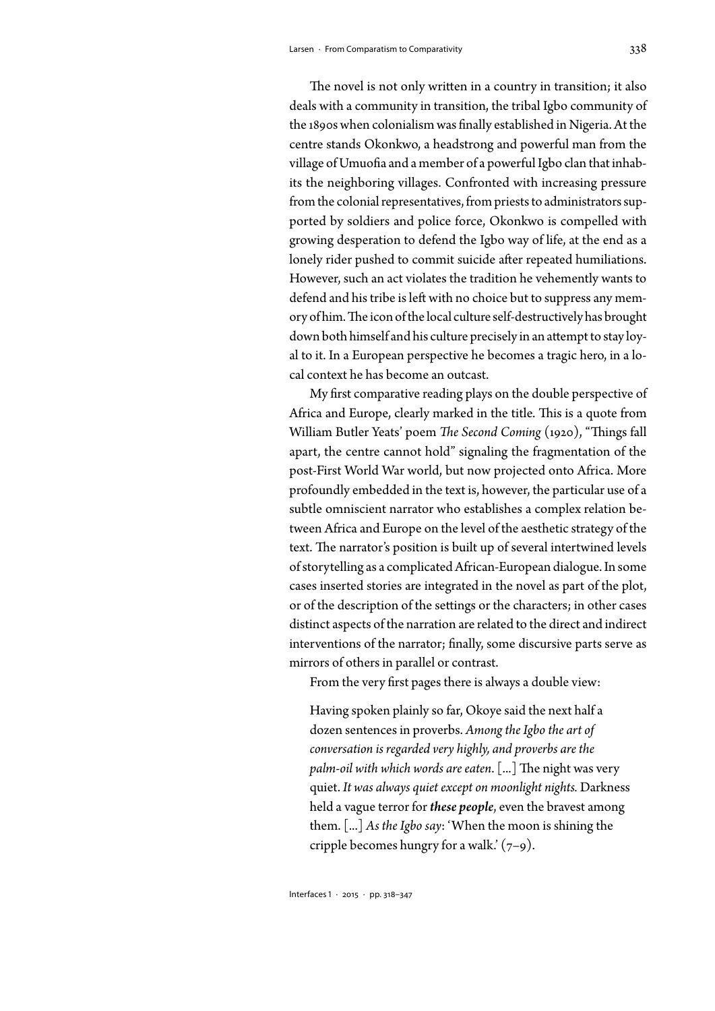The novel is not only written in a country in transition; it also deals with a community in transition, the tribal Igbo community of the 1890s when colonialism was finally established in Nigeria. At the centre stands Okonkwo, a headstrong and powerful man from the village of Umuofia and a member of a powerful Igbo clan that inhabits the neighboring villages. Confronted with increasing pressure from the colonial representatives, from priests to administrators supported by soldiers and police force, Okonkwo is compelled with growing desperation to defend the Igbo way of life, at the end as a lonely rider pushed to commit suicide after repeated humiliations. However, such an act violates the tradition he vehemently wants to defend and his tribe is left with no choice but to suppress any memory of him. The icon of the local culture self-destructively has brought down both himself and his culture precisely in an attempt to stay loyal to it. In a European perspective he becomes a tragic hero, in a local context he has become an outcast.

My first comparative reading plays on the double perspective of Africa and Europe, clearly marked in the title. This is a quote from William Butler Yeats' poem *The Second Coming* (1920), "Things fall apart, the centre cannot hold" signaling the fragmentation of the post-First World War world, but now projected onto Africa. More profoundly embedded in the text is, however, the particular use of a subtle omniscient narrator who establishes a complex relation between Africa and Europe on the level of the aesthetic strategy of the text. The narrator's position is built up of several intertwined levels of storytelling as a complicated African-European dialogue. In some cases inserted stories are integrated in the novel as part of the plot, or of the description of the settings or the characters; in other cases distinct aspects of the narration are related to the direct and indirect interventions of the narrator; finally, some discursive parts serve as mirrors of others in parallel or contrast.

From the very first pages there is always a double view:

Having spoken plainly so far, Okoye said the next half a dozen sentences in proverbs. *Among the Igbo the art of conversation is regarded very highly, and proverbs are the palm-oil with which words are eaten*. [...] The night was very quiet. *It was always quiet except on moonlight nights.* Darkness held a vague terror for *these people*, even the bravest among them. [...] *As the Igbo say*: 'When the moon is shining the cripple becomes hungry for a walk.'  $(7-9)$ .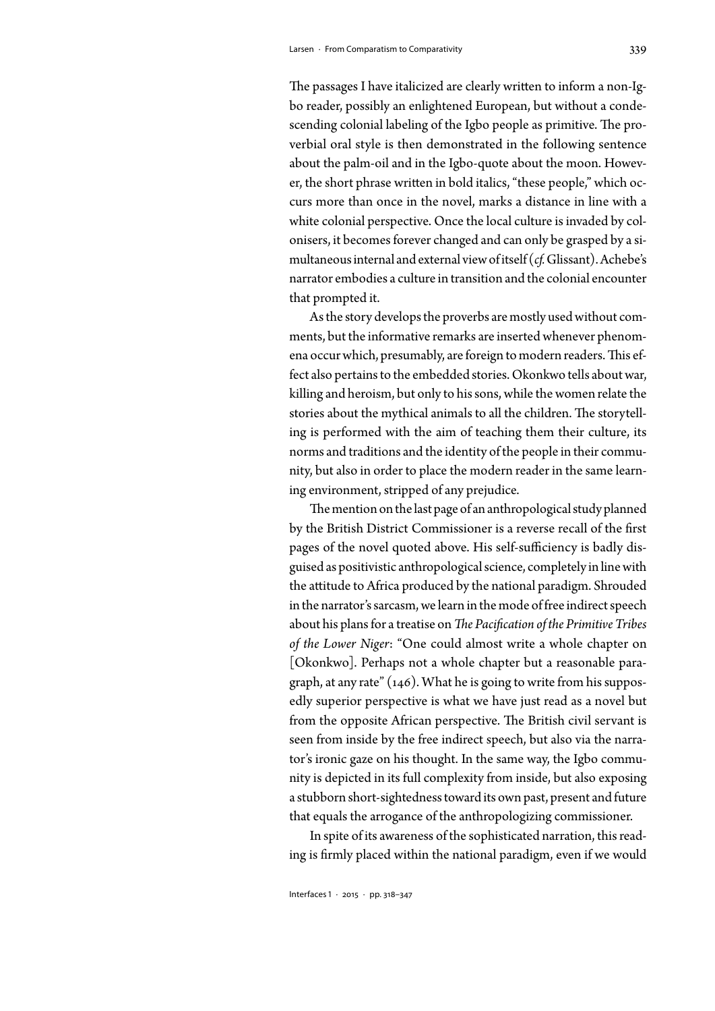The passages I have italicized are clearly written to inform a non-Igbo reader, possibly an enlightened European, but without a condescending colonial labeling of the Igbo people as primitive. The proverbial oral style is then demonstrated in the following sentence about the palm-oil and in the Igbo-quote about the moon. However, the short phrase written in bold italics, "these people," which occurs more than once in the novel, marks a distance in line with a white colonial perspective. Once the local culture is invaded by colonisers, it becomes forever changed and can only be grasped by a simultaneous internal and external view of itself (*cf.* Glissant). Achebe's narrator embodies a culture in transition and the colonial encounter that prompted it.

As the story develops the proverbs are mostly used without comments, but the informative remarks are inserted whenever phenomena occur which, presumably, are foreign to modern readers. This effect also pertains to the embedded stories. Okonkwo tells about war, killing and heroism, but only to his sons, while the women relate the stories about the mythical animals to all the children. The storytelling is performed with the aim of teaching them their culture, its norms and traditions and the identity of the people in their community, but also in order to place the modern reader in the same learning environment, stripped of any prejudice.

The mention on the last page of an anthropological study planned by the British District Commissioner is a reverse recall of the first pages of the novel quoted above. His self-sufficiency is badly disguised as positivistic anthropological science, completely in line with the attitude to Africa produced by the national paradigm. Shrouded in the narrator's sarcasm, we learn in the mode of free indirect speech about his plans for a treatise on *The Pacification of the Primitive Tribes of the Lower Niger*: "One could almost write a whole chapter on [Okonkwo]. Perhaps not a whole chapter but a reasonable paragraph, at any rate"  $(146)$ . What he is going to write from his supposedly superior perspective is what we have just read as a novel but from the opposite African perspective. The British civil servant is seen from inside by the free indirect speech, but also via the narrator's ironic gaze on his thought. In the same way, the Igbo community is depicted in its full complexity from inside, but also exposing a stubborn short-sightedness toward its own past, present and future that equals the arrogance of the anthropologizing commissioner.

In spite of its awareness of the sophisticated narration, this reading is firmly placed within the national paradigm, even if we would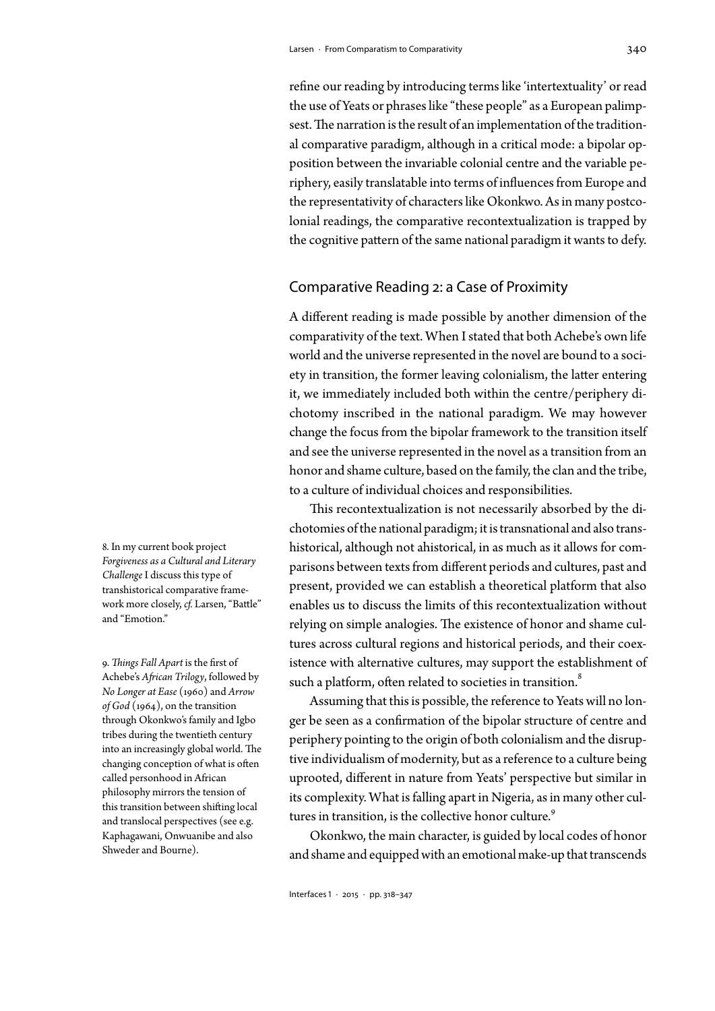refine our reading by introducing terms like 'intertextuality' or read the use of Yeats or phrases like "these people" as a European palimpsest. The narration is the result of an implementation of the traditional comparative paradigm, although in a critical mode: a bipolar opposition between the invariable colonial centre and the variable periphery, easily translatable into terms of influences from Europe and the representativity of characters like Okonkwo. As in many postcolonial readings, the comparative recontextualization is trapped by the cognitive pattern of the same national paradigm it wants to defy.

# Comparative Reading 2: a Case of Proximity

A different reading is made possible by another dimension of the comparativity of the text. When I stated that both Achebe's own life world and the universe represented in the novel are bound to a society in transition, the former leaving colonialism, the latter entering it, we immediately included both within the centre/periphery dichotomy inscribed in the national paradigm. We may however change the focus from the bipolar framework to the transition itself and see the universe represented in the novel as a transition from an honor and shame culture, based on the family, the clan and the tribe, to a culture of individual choices and responsibilities.

This recontextualization is not necessarily absorbed by the dichotomies of the national paradigm; it is transnational and also transhistorical, although not ahistorical, in as much as it allows for comparisons between texts from different periods and cultures, past and present, provided we can establish a theoretical platform that also enables us to discuss the limits of this recontextualization without relying on simple analogies. The existence of honor and shame cultures across cultural regions and historical periods, and their coexistence with alternative cultures, may support the establishment of such a platform, often related to societies in transition.<sup>8</sup>

Assuming that this is possible, the reference to Yeats will no longer be seen as a confirmation of the bipolar structure of centre and periphery pointing to the origin of both colonialism and the disruptive individualism of modernity, but as a reference to a culture being uprooted, different in nature from Yeats' perspective but similar in its complexity. What is falling apart in Nigeria, as in many other cultures in transition, is the collective honor culture.<sup>9</sup>

Okonkwo, the main character, is guided by local codes of honor and shame and equipped with an emotional make-up that transcends

8. In my current book project *Forgiveness as a Cultural and Literary Challenge* I discuss this type of transhistorical comparative framework more closely, *cf.* Larsen, "Battle" and "Emotion."

9. *Things Fall Apart* is the first of Achebe's *African Trilogy*, followed by *No Longer at Ease* (1960) and *Arrow of God* (1964), on the transition through Okonkwo's family and Igbo tribes during the twentieth century into an increasingly global world. The changing conception of what is often called personhood in African philosophy mirrors the tension of this transition between shifting local and translocal perspectives (see e.g. Kaphagawani, Onwuanibe and also Shweder and Bourne).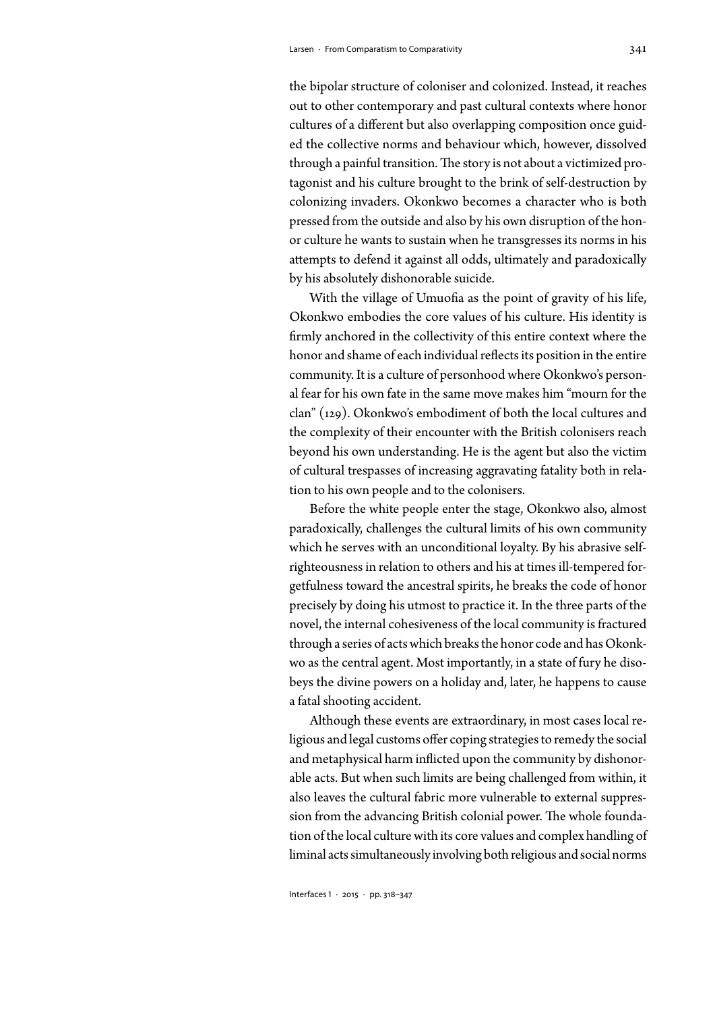the bipolar structure of coloniser and colonized. Instead, it reaches out to other contemporary and past cultural contexts where honor cultures of a different but also overlapping composition once guided the collective norms and behaviour which, however, dissolved through a painful transition. The story is not about a victimized protagonist and his culture brought to the brink of self-destruction by colonizing invaders. Okonkwo becomes a character who is both pressed from the outside and also by his own disruption of the honor culture he wants to sustain when he transgresses its norms in his attempts to defend it against all odds, ultimately and paradoxically by his absolutely dishonorable suicide.

With the village of Umuofia as the point of gravity of his life, Okonkwo embodies the core values of his culture. His identity is firmly anchored in the collectivity of this entire context where the honor and shame of each individual reflects its position in the entire community. It is a culture of personhood where Okonkwo's personal fear for his own fate in the same move makes him "mourn for the clan" (129). Okonkwo's embodiment of both the local cultures and the complexity of their encounter with the British colonisers reach beyond his own understanding. He is the agent but also the victim of cultural trespasses of increasing aggravating fatality both in relation to his own people and to the colonisers.

Before the white people enter the stage, Okonkwo also, almost paradoxically, challenges the cultural limits of his own community which he serves with an unconditional loyalty. By his abrasive selfrighteousness in relation to others and his at times ill-tempered forgetfulness toward the ancestral spirits, he breaks the code of honor precisely by doing his utmost to practice it. In the three parts of the novel, the internal cohesiveness of the local community is fractured through a series of acts which breaks the honor code and has Okonkwo as the central agent. Most importantly, in a state of fury he disobeys the divine powers on a holiday and, later, he happens to cause a fatal shooting accident.

Although these events are extraordinary, in most cases local religious and legal customs offer coping strategies to remedy the social and metaphysical harm inflicted upon the community by dishonorable acts. But when such limits are being challenged from within, it also leaves the cultural fabric more vulnerable to external suppression from the advancing British colonial power. The whole foundation of the local culture with its core values and complex handling of liminal acts simultaneously involving both religious and social norms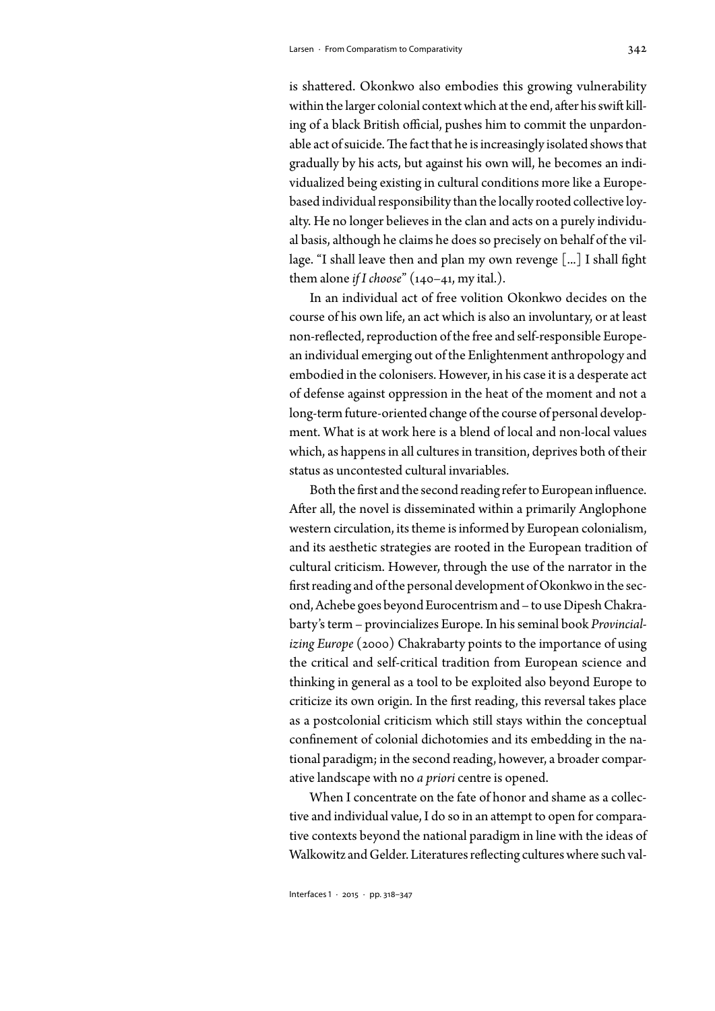is shattered. Okonkwo also embodies this growing vulnerability within the larger colonial context which at the end, after his swift killing of a black British official, pushes him to commit the unpardonable act of suicide. The fact that he is increasingly isolated shows that gradually by his acts, but against his own will, he becomes an individualized being existing in cultural conditions more like a Europebased individual responsibility than the locally rooted collective loyalty. He no longer believes in the clan and acts on a purely individual basis, although he claims he does so precisely on behalf of the village. "I shall leave then and plan my own revenge [...] I shall fight them alone *if I choose*" (140–41, my ital.).

In an individual act of free volition Okonkwo decides on the course of his own life, an act which is also an involuntary, or at least non-reflected, reproduction of the free and self-responsible European individual emerging out of the Enlightenment anthropology and embodied in the colonisers. However, in his case it is a desperate act of defense against oppression in the heat of the moment and not a long-term future-oriented change of the course of personal development. What is at work here is a blend of local and non-local values which, as happens in all cultures in transition, deprives both of their status as uncontested cultural invariables.

Both the first and the second reading refer to European influence. After all, the novel is disseminated within a primarily Anglophone western circulation, its theme is informed by European colonialism, and its aesthetic strategies are rooted in the European tradition of cultural criticism. However, through the use of the narrator in the first reading and of the personal development of Okonkwo in the second, Achebe goes beyond Eurocentrism and – to use Dipesh Chakrabarty's term – provincializes Europe. In his seminal book *Provincializing Europe* (2000) Chakrabarty points to the importance of using the critical and self-critical tradition from European science and thinking in general as a tool to be exploited also beyond Europe to criticize its own origin. In the first reading, this reversal takes place as a postcolonial criticism which still stays within the conceptual confinement of colonial dichotomies and its embedding in the national paradigm; in the second reading, however, a broader comparative landscape with no *a priori* centre is opened.

When I concentrate on the fate of honor and shame as a collective and individual value, I do so in an attempt to open for comparative contexts beyond the national paradigm in line with the ideas of Walkowitz and Gelder. Literatures reflecting cultures where such val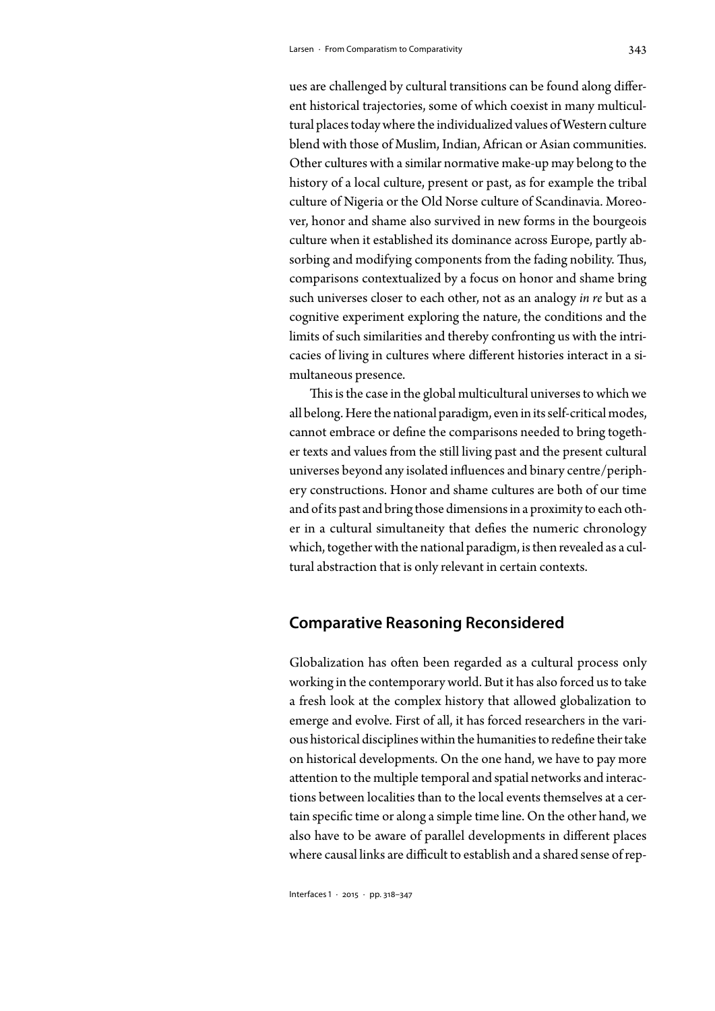ues are challenged by cultural transitions can be found along different historical trajectories, some of which coexist in many multicultural places today where the individualized values of Western culture blend with those of Muslim, Indian, African or Asian communities. Other cultures with a similar normative make-up may belong to the history of a local culture, present or past, as for example the tribal culture of Nigeria or the Old Norse culture of Scandinavia. Moreover, honor and shame also survived in new forms in the bourgeois culture when it established its dominance across Europe, partly absorbing and modifying components from the fading nobility. Thus, comparisons contextualized by a focus on honor and shame bring such universes closer to each other, not as an analogy *in re* but as a cognitive experiment exploring the nature, the conditions and the limits of such similarities and thereby confronting us with the intricacies of living in cultures where different histories interact in a simultaneous presence.

This is the case in the global multicultural universes to which we all belong. Here the national paradigm, even in its self-critical modes, cannot embrace or define the comparisons needed to bring together texts and values from the still living past and the present cultural universes beyond any isolated influences and binary centre/periphery constructions. Honor and shame cultures are both of our time and of its past and bring those dimensions in a proximity to each other in a cultural simultaneity that defies the numeric chronology which, together with the national paradigm, is then revealed as a cultural abstraction that is only relevant in certain contexts.

# **Comparative Reasoning Reconsidered**

Globalization has often been regarded as a cultural process only working in the contemporary world. But it has also forced us to take a fresh look at the complex history that allowed globalization to emerge and evolve. First of all, it has forced researchers in the various historical disciplines within the humanities to redefine their take on historical developments. On the one hand, we have to pay more attention to the multiple temporal and spatial networks and interactions between localities than to the local events themselves at a certain specific time or along a simple time line. On the other hand, we also have to be aware of parallel developments in different places where causal links are difficult to establish and a shared sense of rep-

Interfaces 1 · 2015 · pp. 318–347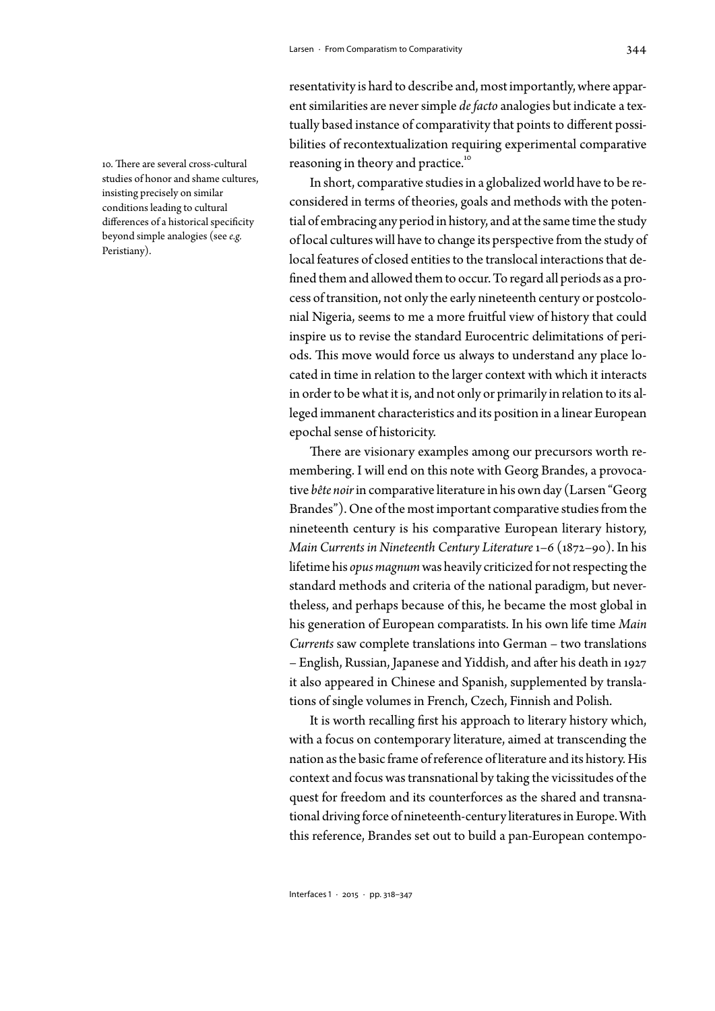resentativity is hard to describe and, most importantly, where apparent similarities are never simple *de facto* analogies but indicate a textually based instance of comparativity that points to different possibilities of recontextualization requiring experimental comparative reasoning in theory and practice.<sup>10</sup>

In short, comparative studies in a globalized world have to be reconsidered in terms of theories, goals and methods with the potential of embracing any period in history, and at the same time the study of local cultures will have to change its perspective from the study of local features of closed entities to the translocal interactions that defined them and allowed them to occur. To regard all periods as a process of transition, not only the early nineteenth century or postcolonial Nigeria, seems to me a more fruitful view of history that could inspire us to revise the standard Eurocentric delimitations of periods. This move would force us always to understand any place located in time in relation to the larger context with which it interacts in order to be what it is, and not only or primarily in relation to its alleged immanent characteristics and its position in a linear European epochal sense of historicity.

There are visionary examples among our precursors worth remembering. I will end on this note with Georg Brandes, a provocative *bête noir* in comparative literature in his own day (Larsen "Georg Brandes"). One of the most important comparative studies from the nineteenth century is his comparative European literary history, *Main Currents in Nineteenth Century Literature*  $1-6$  ( $1872-90$ ). In his lifetime his *opus magnum* was heavily criticized for not respecting the standard methods and criteria of the national paradigm, but nevertheless, and perhaps because of this, he became the most global in his generation of European comparatists. In his own life time *Main Currents* saw complete translations into German – two translations – English, Russian, Japanese and Yiddish, and after his death in 1927 it also appeared in Chinese and Spanish, supplemented by translations of single volumes in French, Czech, Finnish and Polish.

It is worth recalling first his approach to literary history which, with a focus on contemporary literature, aimed at transcending the nation as the basic frame of reference of literature and its history. His context and focus was transnational by taking the vicissitudes of the quest for freedom and its counterforces as the shared and transnational driving force of nineteenth-century literatures in Europe. With this reference, Brandes set out to build a pan-European contempo-

10. There are several cross-cultural studies of honor and shame cultures, insisting precisely on similar conditions leading to cultural differences of a historical specificity beyond simple analogies (see *e.g.* Peristiany).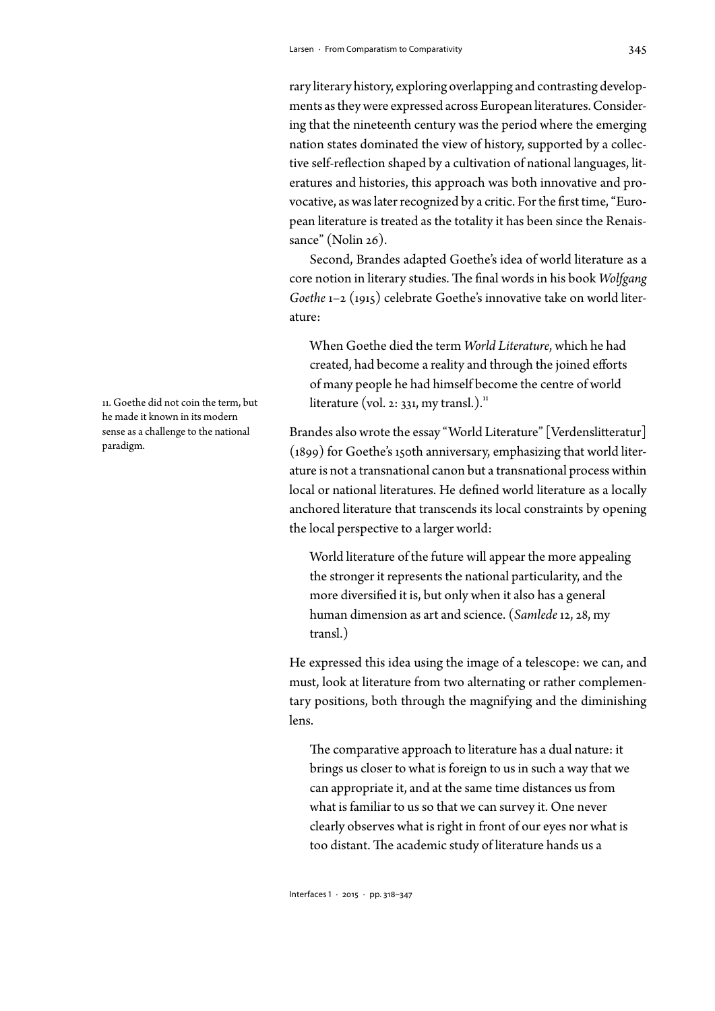rary literary history, exploring overlapping and contrasting developments as they were expressed across European literatures. Considering that the nineteenth century was the period where the emerging nation states dominated the view of history, supported by a collective self-reflection shaped by a cultivation of national languages, literatures and histories, this approach was both innovative and provocative, as was later recognized by a critic. For the first time, "European literature is treated as the totality it has been since the Renaissance" (Nolin 26).

Second, Brandes adapted Goethe's idea of world literature as a core notion in literary studies. The final words in his book *Wolfgang Goethe* 1–2 (1915) celebrate Goethe's innovative take on world literature:

When Goethe died the term *World Literature*, which he had created, had become a reality and through the joined efforts of many people he had himself become the centre of world literature (vol. 2: 331, my transl.).<sup>11</sup>

Brandes also wrote the essay "World Literature" [Verdenslitteratur] (1899) for Goethe's 150th anniversary, emphasizing that world literature is not a transnational canon but a transnational process within local or national literatures. He defined world literature as a locally anchored literature that transcends its local constraints by opening the local perspective to a larger world:

World literature of the future will appear the more appealing the stronger it represents the national particularity, and the more diversified it is, but only when it also has a general human dimension as art and science. (*Samlede* 12, 28, my transl.)

He expressed this idea using the image of a telescope: we can, and must, look at literature from two alternating or rather complementary positions, both through the magnifying and the diminishing lens.

The comparative approach to literature has a dual nature: it brings us closer to what is foreign to us in such a way that we can appropriate it, and at the same time distances us from what is familiar to us so that we can survey it. One never clearly observes what is right in front of our eyes nor what is too distant. The academic study of literature hands us a

11. Goethe did not coin the term, but he made it known in its modern sense as a challenge to the national paradigm.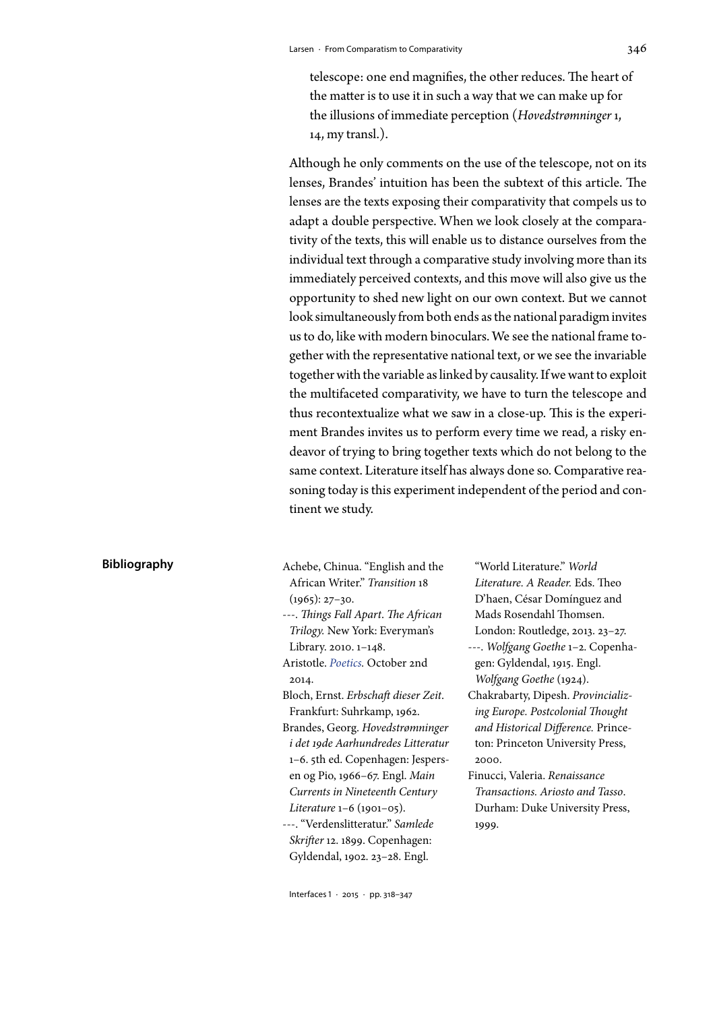telescope: one end magnifies, the other reduces. The heart of the matter is to use it in such a way that we can make up for the illusions of immediate perception (*Hovedstrømninger* 1, 14, my transl.).

Although he only comments on the use of the telescope, not on its lenses, Brandes' intuition has been the subtext of this article. The lenses are the texts exposing their comparativity that compels us to adapt a double perspective. When we look closely at the comparativity of the texts, this will enable us to distance ourselves from the individual text through a comparative study involving more than its immediately perceived contexts, and this move will also give us the opportunity to shed new light on our own context. But we cannot look simultaneously from both ends as the national paradigm invites us to do, like with modern binoculars. We see the national frame together with the representative national text, or we see the invariable together with the variable as linked by causality. If we want to exploit the multifaceted comparativity, we have to turn the telescope and thus recontextualize what we saw in a close-up. This is the experiment Brandes invites us to perform every time we read, a risky endeavor of trying to bring together texts which do not belong to the same context. Literature itself has always done so. Comparative reasoning today is this experiment independent of the period and continent we study.

Bibliography **Exercise 2 Achebe, Chinua.** "English and the "World Literature." *World* African Writer." *Transition* 18  $(1965): 27-30.$ ---. *Things Fall Apart*. *The African Trilogy.* New York: Everyman's Library. 2010. 1–148. Aristotle. *[Poetics](http://classics.mit.edu/Aristotle/poetics.html).* October 2nd 2014. Bloch, Ernst. *Erbschaft dieser Zeit*. Frankfurt: Suhrkamp, 1962. Brandes, Georg. *Hovedstrømninger i det 19de Aarhundredes Litteratur*  1–6. 5th ed. Copenhagen: Jespersen og Pio, 1966–67. Engl. *Main Currents in Nineteenth Century Literature* 1–6 (1901–05). ---. "Verdenslitteratur." *Samlede Skrifter* 12. 1899. Copenhagen: Gyldendal, 1902. 23–28. Engl.

*Literature. A Reader.* Eds. Theo D'haen, César Domínguez and Mads Rosendahl Thomsen. London: Routledge, 2013. 23–27. ---. *Wolfgang Goethe* 1–2. Copenhagen: Gyldendal, 1915. Engl.

- *Wolfgang Goethe* (1924). Chakrabarty, Dipesh. *Provincializing Europe. Postcolonial Thought*
- *and Historical Difference.* Princeton: Princeton University Press, 2000.
- Finucci, Valeria. *Renaissance Transactions. Ariosto and Tasso*. Durham: Duke University Press, 1999.